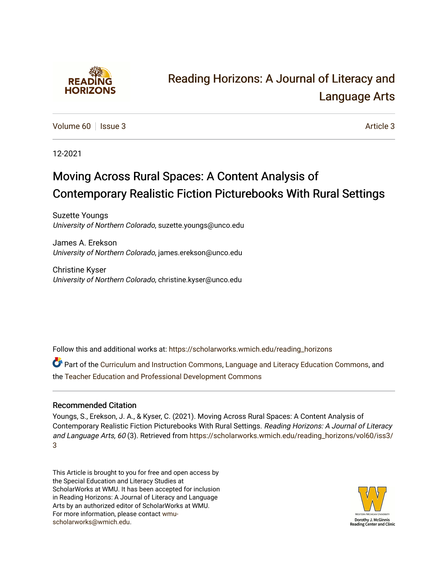

# [Reading Horizons: A Journal of Literacy and](https://scholarworks.wmich.edu/reading_horizons)  [Language Arts](https://scholarworks.wmich.edu/reading_horizons)

[Volume 60](https://scholarworks.wmich.edu/reading_horizons/vol60) | [Issue 3](https://scholarworks.wmich.edu/reading_horizons/vol60/iss3) Article 3

12-2021

# Moving Across Rural Spaces: A Content Analysis of Contemporary Realistic Fiction Picturebooks With Rural Settings

Suzette Youngs University of Northern Colorado, suzette.youngs@unco.edu

James A. Erekson University of Northern Colorado, james.erekson@unco.edu

Christine Kyser University of Northern Colorado, christine.kyser@unco.edu

Follow this and additional works at: [https://scholarworks.wmich.edu/reading\\_horizons](https://scholarworks.wmich.edu/reading_horizons?utm_source=scholarworks.wmich.edu%2Freading_horizons%2Fvol60%2Fiss3%2F3&utm_medium=PDF&utm_campaign=PDFCoverPages)

Part of the [Curriculum and Instruction Commons,](http://network.bepress.com/hgg/discipline/786?utm_source=scholarworks.wmich.edu%2Freading_horizons%2Fvol60%2Fiss3%2F3&utm_medium=PDF&utm_campaign=PDFCoverPages) [Language and Literacy Education Commons,](http://network.bepress.com/hgg/discipline/1380?utm_source=scholarworks.wmich.edu%2Freading_horizons%2Fvol60%2Fiss3%2F3&utm_medium=PDF&utm_campaign=PDFCoverPages) and the [Teacher Education and Professional Development Commons](http://network.bepress.com/hgg/discipline/803?utm_source=scholarworks.wmich.edu%2Freading_horizons%2Fvol60%2Fiss3%2F3&utm_medium=PDF&utm_campaign=PDFCoverPages) 

# Recommended Citation

Youngs, S., Erekson, J. A., & Kyser, C. (2021). Moving Across Rural Spaces: A Content Analysis of Contemporary Realistic Fiction Picturebooks With Rural Settings. Reading Horizons: A Journal of Literacy and Language Arts, 60 (3). Retrieved from [https://scholarworks.wmich.edu/reading\\_horizons/vol60/iss3/](https://scholarworks.wmich.edu/reading_horizons/vol60/iss3/3?utm_source=scholarworks.wmich.edu%2Freading_horizons%2Fvol60%2Fiss3%2F3&utm_medium=PDF&utm_campaign=PDFCoverPages) [3](https://scholarworks.wmich.edu/reading_horizons/vol60/iss3/3?utm_source=scholarworks.wmich.edu%2Freading_horizons%2Fvol60%2Fiss3%2F3&utm_medium=PDF&utm_campaign=PDFCoverPages) 

This Article is brought to you for free and open access by the Special Education and Literacy Studies at ScholarWorks at WMU. It has been accepted for inclusion in Reading Horizons: A Journal of Literacy and Language Arts by an authorized editor of ScholarWorks at WMU. For more information, please contact [wmu](mailto:wmu-scholarworks@wmich.edu)[scholarworks@wmich.edu.](mailto:wmu-scholarworks@wmich.edu)

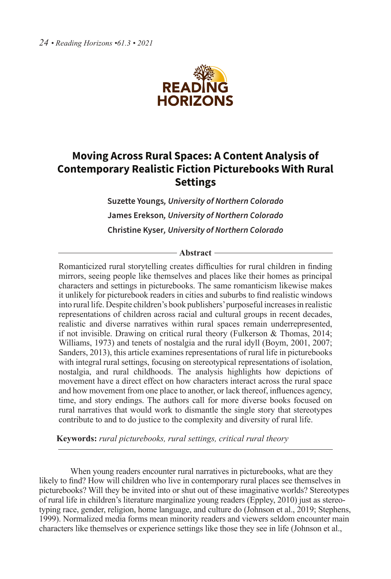

# **Moving Across Rural Spaces: A Content Analysis of Contemporary Realistic Fiction Picturebooks With Rural Settings**

**Suzette Youngs***, University of Northern Colorado* **James Erekson***, University of Northern Colorado* **Christine Kyser***, University of Northern Colorado*

#### **Abstract**

Romanticized rural storytelling creates difficulties for rural children in finding mirrors, seeing people like themselves and places like their homes as principal characters and settings in picturebooks. The same romanticism likewise makes it unlikely for picturebook readers in cities and suburbs to find realistic windows into rural life. Despite children's book publishers' purposeful increases in realistic representations of children across racial and cultural groups in recent decades, realistic and diverse narratives within rural spaces remain underrepresented, if not invisible. Drawing on critical rural theory (Fulkerson & Thomas, 2014; Williams, 1973) and tenets of nostalgia and the rural idyll (Boym, 2001, 2007; Sanders, 2013), this article examines representations of rural life in picturebooks with integral rural settings, focusing on stereotypical representations of isolation, nostalgia, and rural childhoods. The analysis highlights how depictions of movement have a direct effect on how characters interact across the rural space and how movement from one place to another, or lack thereof, influences agency, time, and story endings. The authors call for more diverse books focused on rural narratives that would work to dismantle the single story that stereotypes contribute to and to do justice to the complexity and diversity of rural life.

 **Keywords:** *rural picturebooks, rural settings, critical rural theory*

When young readers encounter rural narratives in picturebooks, what are they likely to find? How will children who live in contemporary rural places see themselves in picturebooks? Will they be invited into or shut out of these imaginative worlds? Stereotypes of rural life in children's literature marginalize young readers (Eppley, 2010) just as stereotyping race, gender, religion, home language, and culture do (Johnson et al., 2019; Stephens, 1999). Normalized media forms mean minority readers and viewers seldom encounter main characters like themselves or experience settings like those they see in life (Johnson et al.,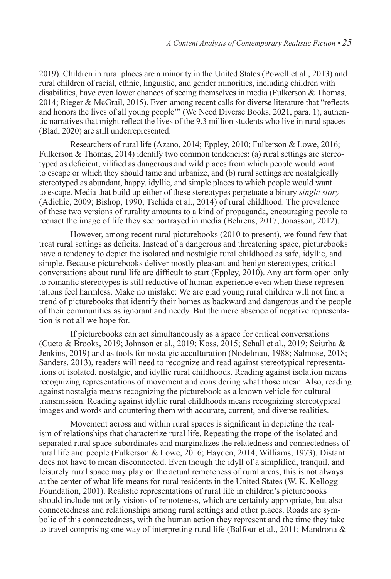2019). Children in rural places are a minority in the United States (Powell et al., 2013) and rural children of racial, ethnic, linguistic, and gender minorities, including children with disabilities, have even lower chances of seeing themselves in media (Fulkerson & Thomas, 2014; Rieger & McGrail, 2015). Even among recent calls for diverse literature that "reflects and honors the lives of all young people'" (We Need Diverse Books, 2021, para. 1), authentic narratives that might reflect the lives of the 9.3 million students who live in rural spaces (Blad, 2020) are still underrepresented.

Researchers of rural life (Azano, 2014; Eppley, 2010; Fulkerson & Lowe, 2016; Fulkerson & Thomas, 2014) identify two common tendencies: (a) rural settings are stereotyped as deficient, vilified as dangerous and wild places from which people would want to escape or which they should tame and urbanize, and (b) rural settings are nostalgically stereotyped as abundant, happy, idyllic, and simple places to which people would want to escape. Media that build up either of these stereotypes perpetuate a binary *single story* (Adichie, 2009; Bishop, 1990; Tschida et al., 2014) of rural childhood. The prevalence of these two versions of rurality amounts to a kind of propaganda, encouraging people to reenact the image of life they see portrayed in media (Behrens, 2017; Jonasson, 2012).

However, among recent rural picturebooks (2010 to present), we found few that treat rural settings as deficits. Instead of a dangerous and threatening space, picturebooks have a tendency to depict the isolated and nostalgic rural childhood as safe, idyllic, and simple. Because picturebooks deliver mostly pleasant and benign stereotypes, critical conversations about rural life are difficult to start (Eppley, 2010). Any art form open only to romantic stereotypes is still reductive of human experience even when these representations feel harmless. Make no mistake: We are glad young rural children will not find a trend of picturebooks that identify their homes as backward and dangerous and the people of their communities as ignorant and needy. But the mere absence of negative representation is not all we hope for.

If picturebooks can act simultaneously as a space for critical conversations (Cueto & Brooks, 2019; Johnson et al., 2019; Koss, 2015; Schall et al., 2019; Sciurba & Jenkins, 2019) and as tools for nostalgic acculturation (Nodelman, 1988; Salmose, 2018; Sanders, 2013), readers will need to recognize and read against stereotypical representations of isolated, nostalgic, and idyllic rural childhoods. Reading against isolation means recognizing representations of movement and considering what those mean. Also, reading against nostalgia means recognizing the picturebook as a known vehicle for cultural transmission. Reading against idyllic rural childhoods means recognizing stereotypical images and words and countering them with accurate, current, and diverse realities.

Movement across and within rural spaces is significant in depicting the realism of relationships that characterize rural life. Repeating the trope of the isolated and separated rural space subordinates and marginalizes the relatedness and connectedness of rural life and people (Fulkerson & Lowe, 2016; Hayden, 2014; Williams, 1973). Distant does not have to mean disconnected. Even though the idyll of a simplified, tranquil, and leisurely rural space may play on the actual remoteness of rural areas, this is not always at the center of what life means for rural residents in the United States (W. K. Kellogg Foundation, 2001). Realistic representations of rural life in children's picturebooks should include not only visions of remoteness, which are certainly appropriate, but also connectedness and relationships among rural settings and other places. Roads are symbolic of this connectedness, with the human action they represent and the time they take to travel comprising one way of interpreting rural life (Balfour et al., 2011; Mandrona  $\&$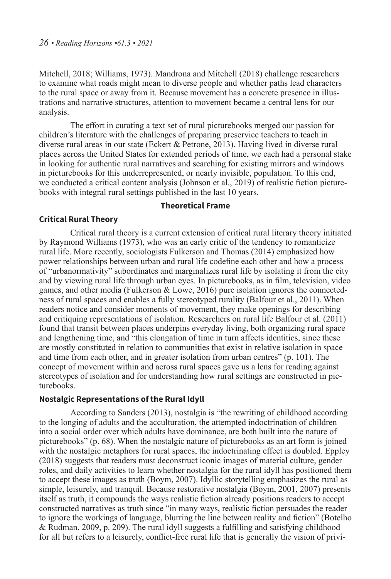Mitchell, 2018; Williams, 1973). Mandrona and Mitchell (2018) challenge researchers to examine what roads might mean to diverse people and whether paths lead characters to the rural space or away from it. Because movement has a concrete presence in illustrations and narrative structures, attention to movement became a central lens for our analysis.

The effort in curating a text set of rural picturebooks merged our passion for children's literature with the challenges of preparing preservice teachers to teach in diverse rural areas in our state (Eckert & Petrone, 2013). Having lived in diverse rural places across the United States for extended periods of time, we each had a personal stake in looking for authentic rural narratives and searching for existing mirrors and windows in picturebooks for this underrepresented, or nearly invisible, population. To this end, we conducted a critical content analysis (Johnson et al., 2019) of realistic fiction picturebooks with integral rural settings published in the last 10 years.

#### **Theoretical Frame**

#### **Critical Rural Theory**

Critical rural theory is a current extension of critical rural literary theory initiated by Raymond Williams (1973), who was an early critic of the tendency to romanticize rural life. More recently, sociologists Fulkerson and Thomas (2014) emphasized how power relationships between urban and rural life codefine each other and how a process of "urbanormativity" subordinates and marginalizes rural life by isolating it from the city and by viewing rural life through urban eyes. In picturebooks, as in film, television, video games, and other media (Fulkerson & Lowe, 2016) pure isolation ignores the connectedness of rural spaces and enables a fully stereotyped rurality (Balfour et al., 2011). When readers notice and consider moments of movement, they make openings for describing and critiquing representations of isolation. Researchers on rural life Balfour et al. (2011) found that transit between places underpins everyday living, both organizing rural space and lengthening time, and "this elongation of time in turn affects identities, since these are mostly constituted in relation to communities that exist in relative isolation in space and time from each other, and in greater isolation from urban centres" (p. 101). The concept of movement within and across rural spaces gave us a lens for reading against stereotypes of isolation and for understanding how rural settings are constructed in picturebooks.

#### **Nostalgic Representations of the Rural Idyll**

According to Sanders (2013), nostalgia is "the rewriting of childhood according to the longing of adults and the acculturation, the attempted indoctrination of children into a social order over which adults have dominance, are both built into the nature of picturebooks" (p. 68). When the nostalgic nature of picturebooks as an art form is joined with the nostalgic metaphors for rural spaces, the indoctrinating effect is doubled. Eppley (2018) suggests that readers must deconstruct iconic images of material culture, gender roles, and daily activities to learn whether nostalgia for the rural idyll has positioned them to accept these images as truth (Boym, 2007). Idyllic storytelling emphasizes the rural as simple, leisurely, and tranquil. Because restorative nostalgia (Boym, 2001, 2007) presents itself as truth, it compounds the ways realistic fiction already positions readers to accept constructed narratives as truth since "in many ways, realistic fiction persuades the reader to ignore the workings of language, blurring the line between reality and fiction" (Botelho & Rudman, 2009, p. 209). The rural idyll suggests a fulfilling and satisfying childhood for all but refers to a leisurely, conflict-free rural life that is generally the vision of privi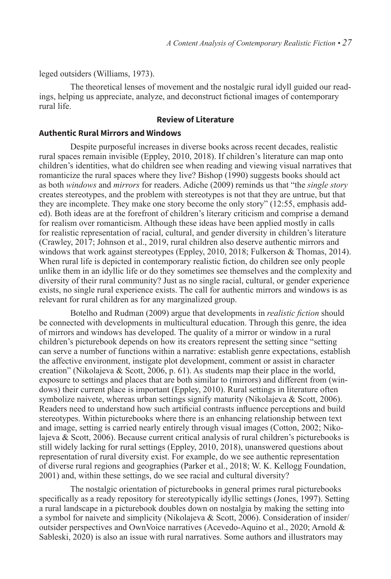leged outsiders (Williams, 1973).

The theoretical lenses of movement and the nostalgic rural idyll guided our readings, helping us appreciate, analyze, and deconstruct fictional images of contemporary rural life.

## **Review of Literature**

#### **Authentic Rural Mirrors and Windows**

Despite purposeful increases in diverse books across recent decades, realistic rural spaces remain invisible (Eppley, 2010, 2018). If children's literature can map onto children's identities, what do children see when reading and viewing visual narratives that romanticize the rural spaces where they live? Bishop (1990) suggests books should act as both *windows* and *mirrors* for readers. Adiche (2009) reminds us that "the *single story* creates stereotypes, and the problem with stereotypes is not that they are untrue, but that they are incomplete. They make one story become the only story" (12:55, emphasis added). Both ideas are at the forefront of children's literary criticism and comprise a demand for realism over romanticism. Although these ideas have been applied mostly in calls for realistic representation of racial, cultural, and gender diversity in children's literature (Crawley, 2017; Johnson et al., 2019, rural children also deserve authentic mirrors and windows that work against stereotypes (Eppley, 2010, 2018; Fulkerson & Thomas, 2014). When rural life is depicted in contemporary realistic fiction, do children see only people unlike them in an idyllic life or do they sometimes see themselves and the complexity and diversity of their rural community? Just as no single racial, cultural, or gender experience exists, no single rural experience exists. The call for authentic mirrors and windows is as relevant for rural children as for any marginalized group.

Botelho and Rudman (2009) argue that developments in *realistic fiction* should be connected with developments in multicultural education. Through this genre, the idea of mirrors and windows has developed. The quality of a mirror or window in a rural children's picturebook depends on how its creators represent the setting since "setting can serve a number of functions within a narrative: establish genre expectations, establish the affective environment, instigate plot development, comment or assist in character creation" (Nikolajeva & Scott, 2006, p. 61). As students map their place in the world, exposure to settings and places that are both similar to (mirrors) and different from (windows) their current place is important (Eppley, 2010). Rural settings in literature often symbolize naivete, whereas urban settings signify maturity (Nikolajeva & Scott, 2006). Readers need to understand how such artificial contrasts influence perceptions and build stereotypes. Within picturebooks where there is an enhancing relationship between text and image, setting is carried nearly entirely through visual images (Cotton, 2002; Nikolajeva & Scott, 2006). Because current critical analysis of rural children's picturebooks is still widely lacking for rural settings (Eppley, 2010, 2018), unanswered questions about representation of rural diversity exist. For example, do we see authentic representation of diverse rural regions and geographies (Parker et al., 2018; W. K. Kellogg Foundation, 2001) and, within these settings, do we see racial and cultural diversity?

The nostalgic orientation of picturebooks in general primes rural picturebooks specifically as a ready repository for stereotypically idyllic settings (Jones, 1997). Setting a rural landscape in a picturebook doubles down on nostalgia by making the setting into a symbol for naivete and simplicity (Nikolajeva & Scott, 2006). Consideration of insider/ outsider perspectives and OwnVoice narratives (Acevedo-Aquino et al., 2020; Arnold & Sableski, 2020) is also an issue with rural narratives. Some authors and illustrators may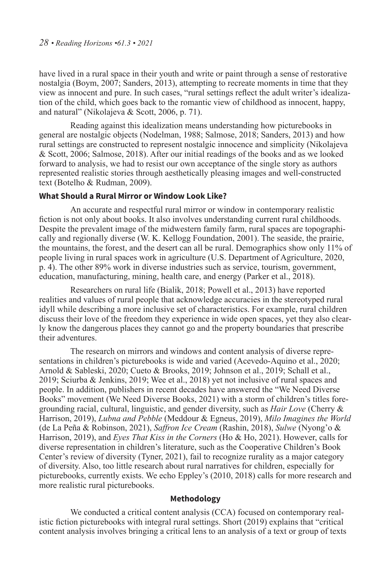have lived in a rural space in their youth and write or paint through a sense of restorative nostalgia (Boym, 2007; Sanders, 2013), attempting to recreate moments in time that they view as innocent and pure. In such cases, "rural settings reflect the adult writer's idealization of the child, which goes back to the romantic view of childhood as innocent, happy, and natural" (Nikolajeva & Scott, 2006, p. 71).

Reading against this idealization means understanding how picturebooks in general are nostalgic objects (Nodelman, 1988; Salmose, 2018; Sanders, 2013) and how rural settings are constructed to represent nostalgic innocence and simplicity (Nikolajeva & Scott, 2006; Salmose, 2018). After our initial readings of the books and as we looked forward to analysis, we had to resist our own acceptance of the single story as authors represented realistic stories through aesthetically pleasing images and well-constructed text (Botelho & Rudman, 2009).

## **What Should a Rural Mirror or Window Look Like?**

An accurate and respectful rural mirror or window in contemporary realistic fiction is not only about books. It also involves understanding current rural childhoods. Despite the prevalent image of the midwestern family farm, rural spaces are topographically and regionally diverse (W. K. Kellogg Foundation, 2001). The seaside, the prairie, the mountains, the forest, and the desert can all be rural. Demographics show only 11% of people living in rural spaces work in agriculture (U.S. Department of Agriculture, 2020, p. 4). The other 89% work in diverse industries such as service, tourism, government, education, manufacturing, mining, health care, and energy (Parker et al., 2018).

Researchers on rural life (Bialik, 2018; Powell et al., 2013) have reported realities and values of rural people that acknowledge accuracies in the stereotyped rural idyll while describing a more inclusive set of characteristics. For example, rural children discuss their love of the freedom they experience in wide open spaces, yet they also clearly know the dangerous places they cannot go and the property boundaries that prescribe their adventures.

The research on mirrors and windows and content analysis of diverse representations in children's picturebooks is wide and varied (Acevedo-Aquino et al., 2020; Arnold & Sableski, 2020; Cueto & Brooks, 2019; Johnson et al., 2019; Schall et al., 2019; Sciurba & Jenkins, 2019; Wee et al., 2018) yet not inclusive of rural spaces and people. In addition, publishers in recent decades have answered the "We Need Diverse Books" movement (We Need Diverse Books, 2021) with a storm of children's titles foregrounding racial, cultural, linguistic, and gender diversity, such as *Hair Love* (Cherry & Harrison, 2019), *Lubna and Pebble* (Meddour & Egneus, 2019), *Milo Imagines the World* (de La Peña & Robinson, 2021), *Saffron Ice Cream* (Rashin, 2018), *Sulwe* (Nyong'o & Harrison, 2019), and *Eyes That Kiss in the Corners* (Ho & Ho, 2021). However, calls for diverse representation in children's literature, such as the Cooperative Children's Book Center's review of diversity (Tyner, 2021), fail to recognize rurality as a major category of diversity. Also, too little research about rural narratives for children, especially for picturebooks, currently exists. We echo Eppley's (2010, 2018) calls for more research and more realistic rural picturebooks.

#### **Methodology**

We conducted a critical content analysis (CCA) focused on contemporary realistic fiction picturebooks with integral rural settings. Short (2019) explains that "critical content analysis involves bringing a critical lens to an analysis of a text or group of texts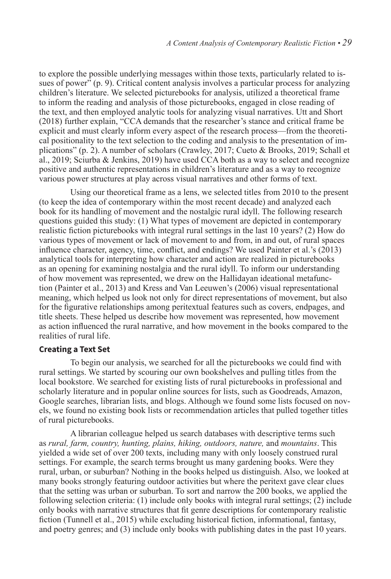to explore the possible underlying messages within those texts, particularly related to issues of power" (p. 9). Critical content analysis involves a particular process for analyzing children's literature. We selected picturebooks for analysis, utilized a theoretical frame to inform the reading and analysis of those picturebooks, engaged in close reading of the text, and then employed analytic tools for analyzing visual narratives. Utt and Short (2018) further explain, "CCA demands that the researcher's stance and critical frame be explicit and must clearly inform every aspect of the research process—from the theoretical positionality to the text selection to the coding and analysis to the presentation of implications" (p. 2). A number of scholars (Crawley, 2017; Cueto & Brooks, 2019; Schall et al., 2019; Sciurba & Jenkins, 2019) have used CCA both as a way to select and recognize positive and authentic representations in children's literature and as a way to recognize various power structures at play across visual narratives and other forms of text.

Using our theoretical frame as a lens, we selected titles from 2010 to the present (to keep the idea of contemporary within the most recent decade) and analyzed each book for its handling of movement and the nostalgic rural idyll. The following research questions guided this study: (1) What types of movement are depicted in contemporary realistic fiction picturebooks with integral rural settings in the last 10 years? (2) How do various types of movement or lack of movement to and from, in and out, of rural spaces influence character, agency, time, conflict, and endings? We used Painter et al.'s (2013) analytical tools for interpreting how character and action are realized in picturebooks as an opening for examining nostalgia and the rural idyll. To inform our understanding of how movement was represented, we drew on the Hallidayan ideational metafunction (Painter et al., 2013) and Kress and Van Leeuwen's (2006) visual representational meaning, which helped us look not only for direct representations of movement, but also for the figurative relationships among peritextual features such as covers, endpages, and title sheets. These helped us describe how movement was represented, how movement as action influenced the rural narrative, and how movement in the books compared to the realities of rural life.

#### **Creating a Text Set**

To begin our analysis, we searched for all the picturebooks we could find with rural settings. We started by scouring our own bookshelves and pulling titles from the local bookstore. We searched for existing lists of rural picturebooks in professional and scholarly literature and in popular online sources for lists, such as Goodreads, Amazon, Google searches, librarian lists, and blogs. Although we found some lists focused on novels, we found no existing book lists or recommendation articles that pulled together titles of rural picturebooks.

A librarian colleague helped us search databases with descriptive terms such as *rural, farm, country, hunting, plains, hiking, outdoors, nature,* and *mountains*. This yielded a wide set of over 200 texts, including many with only loosely construed rural settings. For example, the search terms brought us many gardening books. Were they rural, urban, or suburban? Nothing in the books helped us distinguish. Also, we looked at many books strongly featuring outdoor activities but where the peritext gave clear clues that the setting was urban or suburban. To sort and narrow the 200 books, we applied the following selection criteria: (1) include only books with integral rural settings; (2) include only books with narrative structures that fit genre descriptions for contemporary realistic fiction (Tunnell et al., 2015) while excluding historical fiction, informational, fantasy, and poetry genres; and (3) include only books with publishing dates in the past 10 years.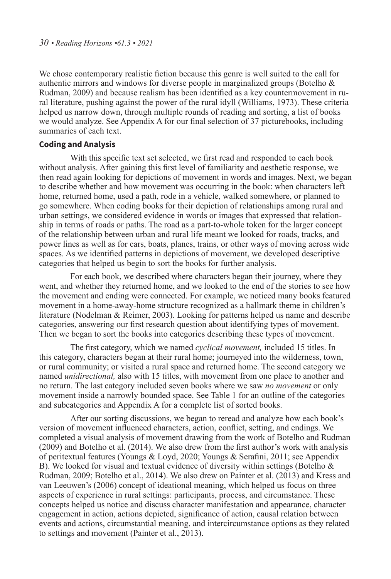We chose contemporary realistic fiction because this genre is well suited to the call for authentic mirrors and windows for diverse people in marginalized groups (Botelho  $\&$ Rudman, 2009) and because realism has been identified as a key countermovement in rural literature, pushing against the power of the rural idyll (Williams, 1973). These criteria helped us narrow down, through multiple rounds of reading and sorting, a list of books we would analyze. See Appendix A for our final selection of 37 picturebooks, including summaries of each text.

#### **Coding and Analysis**

With this specific text set selected, we first read and responded to each book without analysis. After gaining this first level of familiarity and aesthetic response, we then read again looking for depictions of movement in words and images. Next, we began to describe whether and how movement was occurring in the book: when characters left home, returned home, used a path, rode in a vehicle, walked somewhere, or planned to go somewhere. When coding books for their depiction of relationships among rural and urban settings, we considered evidence in words or images that expressed that relationship in terms of roads or paths. The road as a part-to-whole token for the larger concept of the relationship between urban and rural life meant we looked for roads, tracks, and power lines as well as for cars, boats, planes, trains, or other ways of moving across wide spaces. As we identified patterns in depictions of movement, we developed descriptive categories that helped us begin to sort the books for further analysis.

For each book, we described where characters began their journey, where they went, and whether they returned home, and we looked to the end of the stories to see how the movement and ending were connected. For example, we noticed many books featured movement in a home-away-home structure recognized as a hallmark theme in children's literature (Nodelman & Reimer, 2003). Looking for patterns helped us name and describe categories, answering our first research question about identifying types of movement. Then we began to sort the books into categories describing these types of movement.

The first category, which we named *cyclical movement,* included 15 titles. In this category, characters began at their rural home; journeyed into the wilderness, town, or rural community; or visited a rural space and returned home. The second category we named *unidirectional,* also with 15 titles, with movement from one place to another and no return. The last category included seven books where we saw *no movement* or only movement inside a narrowly bounded space. See Table 1 for an outline of the categories and subcategories and Appendix A for a complete list of sorted books.

After our sorting discussions, we began to reread and analyze how each book's version of movement influenced characters, action, conflict, setting, and endings. We completed a visual analysis of movement drawing from the work of Botelho and Rudman (2009) and Botelho et al. (2014). We also drew from the first author's work with analysis of peritextual features (Youngs & Loyd, 2020; Youngs & Serafini, 2011; see Appendix B). We looked for visual and textual evidence of diversity within settings (Botelho & Rudman, 2009; Botelho et al., 2014). We also drew on Painter et al. (2013) and Kress and van Leeuwen's (2006) concept of ideational meaning, which helped us focus on three aspects of experience in rural settings: participants, process, and circumstance. These concepts helped us notice and discuss character manifestation and appearance, character engagement in action, actions depicted, significance of action, causal relation between events and actions, circumstantial meaning, and intercircumstance options as they related to settings and movement (Painter et al., 2013).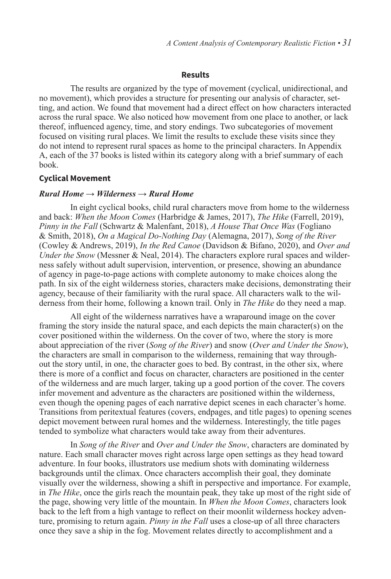#### **Results**

The results are organized by the type of movement (cyclical, unidirectional, and no movement), which provides a structure for presenting our analysis of character, setting, and action. We found that movement had a direct effect on how characters interacted across the rural space. We also noticed how movement from one place to another, or lack thereof, influenced agency, time, and story endings. Two subcategories of movement focused on visiting rural places. We limit the results to exclude these visits since they do not intend to represent rural spaces as home to the principal characters. In Appendix A, each of the 37 books is listed within its category along with a brief summary of each book.

#### **Cyclical Movement**

#### *Rural Home → Wilderness → Rural Home*

In eight cyclical books, child rural characters move from home to the wilderness and back: *When the Moon Comes* (Harbridge & James, 2017), *The Hike* (Farrell, 2019), *Pinny in the Fall* (Schwartz & Malenfant, 2018), *A House That Once Was* (Fogliano & Smith, 2018), *On a Magical Do-Nothing Day* (Alemagna, 2017), *Song of the River*  (Cowley & Andrews, 2019), *In the Red Canoe* (Davidson & Bifano, 2020), and *Over and Under the Snow* (Messner & Neal, 2014). The characters explore rural spaces and wilderness safely without adult supervision, intervention, or presence, showing an abundance of agency in page-to-page actions with complete autonomy to make choices along the path. In six of the eight wilderness stories, characters make decisions, demonstrating their agency, because of their familiarity with the rural space. All characters walk to the wilderness from their home, following a known trail. Only in *The Hike* do they need a map.

All eight of the wilderness narratives have a wraparound image on the cover framing the story inside the natural space, and each depicts the main character(s) on the cover positioned within the wilderness. On the cover of two, where the story is more about appreciation of the river (*Song of the River*) and snow (*Over and Under the Snow*), the characters are small in comparison to the wilderness, remaining that way throughout the story until, in one, the character goes to bed. By contrast, in the other six, where there is more of a conflict and focus on character, characters are positioned in the center of the wilderness and are much larger, taking up a good portion of the cover. The covers infer movement and adventure as the characters are positioned within the wilderness, even though the opening pages of each narrative depict scenes in each character's home. Transitions from peritextual features (covers, endpages, and title pages) to opening scenes depict movement between rural homes and the wilderness. Interestingly, the title pages tended to symbolize what characters would take away from their adventures.

In *Song of the River* and *Over and Under the Snow*, characters are dominated by nature. Each small character moves right across large open settings as they head toward adventure. In four books, illustrators use medium shots with dominating wilderness backgrounds until the climax. Once characters accomplish their goal, they dominate visually over the wilderness, showing a shift in perspective and importance. For example, in *The Hike*, once the girls reach the mountain peak, they take up most of the right side of the page, showing very little of the mountain. In *When the Moon Comes*, characters look back to the left from a high vantage to reflect on their moonlit wilderness hockey adventure, promising to return again. *Pinny in the Fall* uses a close-up of all three characters once they save a ship in the fog. Movement relates directly to accomplishment and a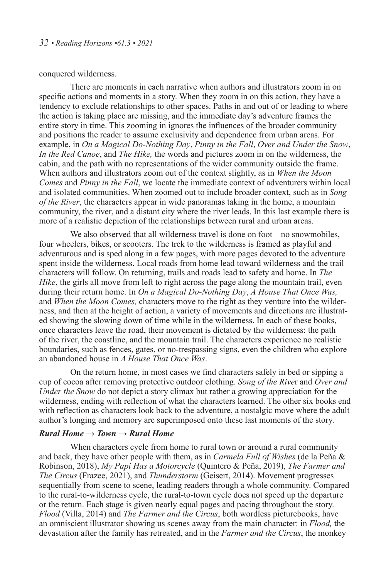#### conquered wilderness.

There are moments in each narrative when authors and illustrators zoom in on specific actions and moments in a story. When they zoom in on this action, they have a tendency to exclude relationships to other spaces. Paths in and out of or leading to where the action is taking place are missing, and the immediate day's adventure frames the entire story in time. This zooming in ignores the influences of the broader community and positions the reader to assume exclusivity and dependence from urban areas. For example, in *On a Magical Do-Nothing Day*, *Pinny in the Fall*, *Over and Under the Snow*, *In the Red Canoe*, and *The Hike,* the words and pictures zoom in on the wilderness, the cabin, and the path with no representations of the wider community outside the frame. When authors and illustrators zoom out of the context slightly, as in *When the Moon Comes* and *Pinny in the Fall*, we locate the immediate context of adventurers within local and isolated communities. When zoomed out to include broader context, such as in *Song of the River*, the characters appear in wide panoramas taking in the home, a mountain community, the river, and a distant city where the river leads. In this last example there is more of a realistic depiction of the relationships between rural and urban areas.

We also observed that all wilderness travel is done on foot—no snowmobiles, four wheelers, bikes, or scooters. The trek to the wilderness is framed as playful and adventurous and is sped along in a few pages, with more pages devoted to the adventure spent inside the wilderness. Local roads from home lead toward wilderness and the trail characters will follow. On returning, trails and roads lead to safety and home. In *The Hike*, the girls all move from left to right across the page along the mountain trail, even during their return home. In *On a Magical Do-Nothing Day*, *A House That Once Was,*  and *When the Moon Comes,* characters move to the right as they venture into the wilderness, and then at the height of action, a variety of movements and directions are illustrated showing the slowing down of time while in the wilderness. In each of these books, once characters leave the road, their movement is dictated by the wilderness: the path of the river, the coastline, and the mountain trail. The characters experience no realistic boundaries, such as fences, gates, or no-trespassing signs, even the children who explore an abandoned house in *A House That Once Was*.

On the return home, in most cases we find characters safely in bed or sipping a cup of cocoa after removing protective outdoor clothing. *Song of the Rive*r and *Over and Under the Snow* do not depict a story climax but rather a growing appreciation for the wilderness, ending with reflection of what the characters learned. The other six books end with reflection as characters look back to the adventure, a nostalgic move where the adult author's longing and memory are superimposed onto these last moments of the story.

## *Rural Home → Town → Rural Home*

When characters cycle from home to rural town or around a rural community and back, they have other people with them, as in *Carmela Full of Wishes* (de la Peña & Robinson, 2018), *My Papi Has a Motorcycle* (Quintero & Peña, 2019), *The Farmer and The Circus* (Frazee, 2021), and *Thunderstorm* (Geisert, 2014). Movement progresses sequentially from scene to scene, leading readers through a whole community. Compared to the rural-to-wilderness cycle, the rural-to-town cycle does not speed up the departure or the return. Each stage is given nearly equal pages and pacing throughout the story. *Flood* (Villa, 2014) and *The Farmer and the Circus*, both wordless picturebooks, have an omniscient illustrator showing us scenes away from the main character: in *Flood,* the devastation after the family has retreated, and in the *Farmer and the Circus*, the monkey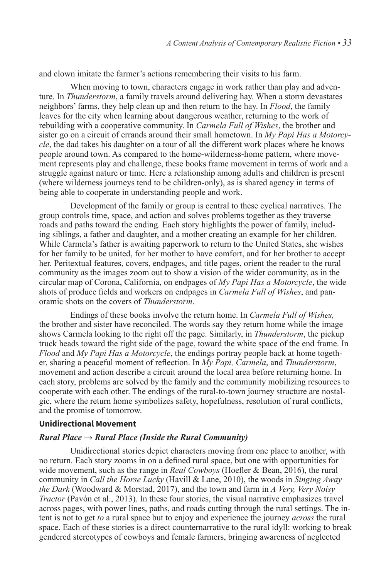and clown imitate the farmer's actions remembering their visits to his farm.

When moving to town, characters engage in work rather than play and adventure. In *Thunderstorm*, a family travels around delivering hay. When a storm devastates neighbors' farms, they help clean up and then return to the hay. In *Flood*, the family leaves for the city when learning about dangerous weather, returning to the work of rebuilding with a cooperative community. In *Carmela Full of Wishes*, the brother and sister go on a circuit of errands around their small hometown. In *My Papi Has a Motorcycle*, the dad takes his daughter on a tour of all the different work places where he knows people around town. As compared to the home-wilderness-home pattern, where movement represents play and challenge, these books frame movement in terms of work and a struggle against nature or time. Here a relationship among adults and children is present (where wilderness journeys tend to be children-only), as is shared agency in terms of being able to cooperate in understanding people and work.

Development of the family or group is central to these cyclical narratives. The group controls time, space, and action and solves problems together as they traverse roads and paths toward the ending. Each story highlights the power of family, including siblings, a father and daughter, and a mother creating an example for her children. While Carmela's father is awaiting paperwork to return to the United States, she wishes for her family to be united, for her mother to have comfort, and for her brother to accept her. Peritextual features, covers, endpages, and title pages, orient the reader to the rural community as the images zoom out to show a vision of the wider community, as in the circular map of Corona, California, on endpages of *My Papi Has a Motorcycle*, the wide shots of produce fields and workers on endpages in *Carmela Full of Wishes*, and panoramic shots on the covers of *Thunderstorm*.

Endings of these books involve the return home. In *Carmela Full of Wishes,* the brother and sister have reconciled. The words say they return home while the image shows Carmela looking to the right off the page. Similarly, in *Thunderstorm*, the pickup truck heads toward the right side of the page, toward the white space of the end frame. In *Flood* and *My Papi Has a Motorcycle*, the endings portray people back at home together, sharing a peaceful moment of reflection. In *My Papi, Carmela*, and *Thunderstorm*, movement and action describe a circuit around the local area before returning home. In each story, problems are solved by the family and the community mobilizing resources to cooperate with each other. The endings of the rural-to-town journey structure are nostalgic, where the return home symbolizes safety, hopefulness, resolution of rural conflicts, and the promise of tomorrow.

#### **Unidirectional Movement**

#### *Rural Place → Rural Place (Inside the Rural Community)*

Unidirectional stories depict characters moving from one place to another, with no return. Each story zooms in on a defined rural space, but one with opportunities for wide movement, such as the range in *Real Cowboys* (Hoefler & Bean, 2016), the rural community in *Call the Horse Lucky* (Havill & Lane, 2010), the woods in *Singing Away the Dark* (Woodward & Morstad, 2017), and the town and farm in *A Very, Very Noisy Tractor* (Pavón et al., 2013). In these four stories, the visual narrative emphasizes travel across pages, with power lines, paths, and roads cutting through the rural settings. The intent is not to get *to* a rural space but to enjoy and experience the journey *across* the rural space. Each of these stories is a direct counternarrative to the rural idyll: working to break gendered stereotypes of cowboys and female farmers, bringing awareness of neglected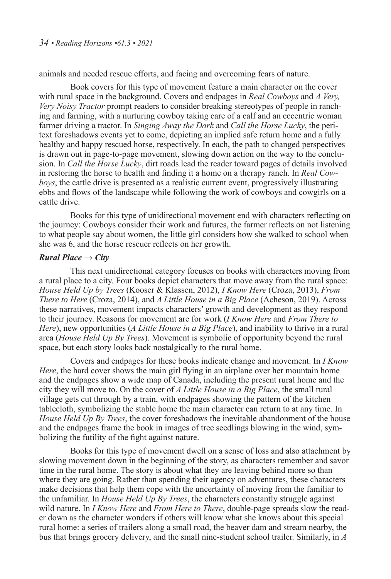animals and needed rescue efforts, and facing and overcoming fears of nature.

Book covers for this type of movement feature a main character on the cover with rural space in the background. Covers and endpages in *Real Cowboys* and *A Very, Very Noisy Tractor* prompt readers to consider breaking stereotypes of people in ranching and farming, with a nurturing cowboy taking care of a calf and an eccentric woman farmer driving a tractor. In *Singing Away the Dark* and *Call the Horse Lucky*, the peritext foreshadows events yet to come, depicting an implied safe return home and a fully healthy and happy rescued horse, respectively. In each, the path to changed perspectives is drawn out in page-to-page movement, slowing down action on the way to the conclusion. In *Call the Horse Lucky*, dirt roads lead the reader toward pages of details involved in restoring the horse to health and finding it a home on a therapy ranch. In *Real Cowboys*, the cattle drive is presented as a realistic current event, progressively illustrating ebbs and flows of the landscape while following the work of cowboys and cowgirls on a cattle drive.

Books for this type of unidirectional movement end with characters reflecting on the journey: Cowboys consider their work and futures, the farmer reflects on not listening to what people say about women, the little girl considers how she walked to school when she was 6, and the horse rescuer reflects on her growth.

#### *Rural Place → City*

This next unidirectional category focuses on books with characters moving from a rural place to a city. Four books depict characters that move away from the rural space: *House Held Up by Trees* (Kooser & Klassen, 2012), *I Know Here* (Croza, 2013), *From There to Here* (Croza, 2014), and *A Little House in a Big Place* (Acheson, 2019). Across these narratives, movement impacts characters' growth and development as they respond to their journey. Reasons for movement are for work (*I Know Here* and *From There to Here*), new opportunities (*A Little House in a Big Place*), and inability to thrive in a rural area (*House Held Up By Trees*). Movement is symbolic of opportunity beyond the rural space, but each story looks back nostalgically to the rural home.

Covers and endpages for these books indicate change and movement. In *I Know Here*, the hard cover shows the main girl flying in an airplane over her mountain home and the endpages show a wide map of Canada, including the present rural home and the city they will move to. On the cover of *A Little House in a Big Place*, the small rural village gets cut through by a train, with endpages showing the pattern of the kitchen tablecloth, symbolizing the stable home the main character can return to at any time. In *House Held Up By Trees*, the cover foreshadows the inevitable abandonment of the house and the endpages frame the book in images of tree seedlings blowing in the wind, symbolizing the futility of the fight against nature.

Books for this type of movement dwell on a sense of loss and also attachment by slowing movement down in the beginning of the story, as characters remember and savor time in the rural home. The story is about what they are leaving behind more so than where they are going. Rather than spending their agency on adventures, these characters make decisions that help them cope with the uncertainty of moving from the familiar to the unfamiliar. In *House Held Up By Trees*, the characters constantly struggle against wild nature. In *I Know Here* and *From Here to There*, double-page spreads slow the reader down as the character wonders if others will know what she knows about this special rural home: a series of trailers along a small road, the beaver dam and stream nearby, the bus that brings grocery delivery, and the small nine-student school trailer. Similarly, in *A*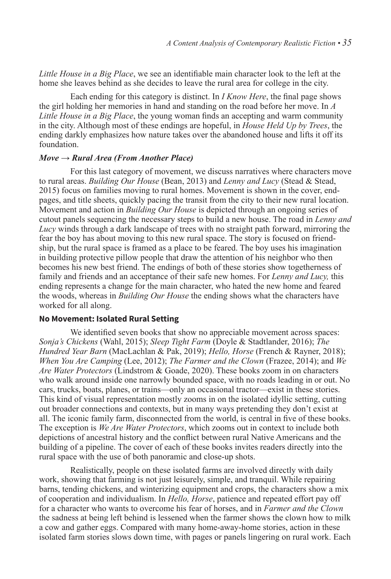*Little House in a Big Place*, we see an identifiable main character look to the left at the home she leaves behind as she decides to leave the rural area for college in the city.

Each ending for this category is distinct. In *I Know Here*, the final page shows the girl holding her memories in hand and standing on the road before her move. In *A Little House in a Big Place*, the young woman finds an accepting and warm community in the city. Although most of these endings are hopeful, in *House Held Up by Trees*, the ending darkly emphasizes how nature takes over the abandoned house and lifts it off its foundation.

#### *Move → Rural Area (From Another Place)*

For this last category of movement, we discuss narratives where characters move to rural areas. *Building Our House* (Bean, 2013) and *Lenny and Lucy* (Stead & Stead, 2015) focus on families moving to rural homes. Movement is shown in the cover, endpages, and title sheets, quickly pacing the transit from the city to their new rural location. Movement and action in *Building Our House* is depicted through an ongoing series of cutout panels sequencing the necessary steps to build a new house. The road in *Lenny and Lucy* winds through a dark landscape of trees with no straight path forward, mirroring the fear the boy has about moving to this new rural space. The story is focused on friendship, but the rural space is framed as a place to be feared. The boy uses his imagination in building protective pillow people that draw the attention of his neighbor who then becomes his new best friend. The endings of both of these stories show togetherness of family and friends and an acceptance of their safe new homes. For *Lenny and Lucy,* this ending represents a change for the main character, who hated the new home and feared the woods, whereas in *Building Our House* the ending shows what the characters have worked for all along.

#### **No Movement: Isolated Rural Setting**

We identified seven books that show no appreciable movement across spaces: *Sonja's Chickens* (Wahl, 2015); *Sleep Tight Farm* (Doyle & Stadtlander, 2016); *The Hundred Year Barn* (MacLachlan & Pak, 2019); *Hello, Horse* (French & Rayner, 2018); *When You Are Camping* (Lee, 2012); *The Farmer and the Clown* (Frazee, 2014); and *We Are Water Protectors* (Lindstrom & Goade, 2020). These books zoom in on characters who walk around inside one narrowly bounded space, with no roads leading in or out. No cars, trucks, boats, planes, or trains—only an occasional tractor—exist in these stories. This kind of visual representation mostly zooms in on the isolated idyllic setting, cutting out broader connections and contexts, but in many ways pretending they don't exist at all. The iconic family farm, disconnected from the world, is central in five of these books. The exception is *We Are Water Protectors*, which zooms out in context to include both depictions of ancestral history and the conflict between rural Native Americans and the building of a pipeline. The cover of each of these books invites readers directly into the rural space with the use of both panoramic and close-up shots.

Realistically, people on these isolated farms are involved directly with daily work, showing that farming is not just leisurely, simple, and tranquil. While repairing barns, tending chickens, and winterizing equipment and crops, the characters show a mix of cooperation and individualism. In *Hello, Horse*, patience and repeated effort pay off for a character who wants to overcome his fear of horses, and in *Farmer and the Clown* the sadness at being left behind is lessened when the farmer shows the clown how to milk a cow and gather eggs. Compared with many home-away-home stories, action in these isolated farm stories slows down time, with pages or panels lingering on rural work. Each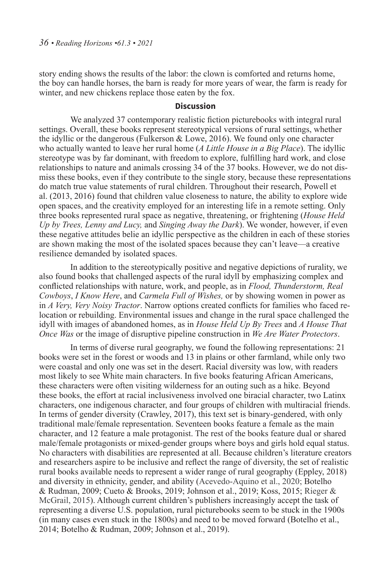story ending shows the results of the labor: the clown is comforted and returns home, the boy can handle horses, the barn is ready for more years of wear, the farm is ready for winter, and new chickens replace those eaten by the fox.

#### **Discussion**

We analyzed 37 contemporary realistic fiction picturebooks with integral rural settings. Overall, these books represent stereotypical versions of rural settings, whether the idyllic or the dangerous (Fulkerson & Lowe, 2016). We found only one character who actually wanted to leave her rural home (*A Little House in a Big Place*). The idyllic stereotype was by far dominant, with freedom to explore, fulfilling hard work, and close relationships to nature and animals crossing 34 of the 37 books. However, we do not dismiss these books, even if they contribute to the single story, because these representations do match true value statements of rural children. Throughout their research, Powell et al. (2013, 2016) found that children value closeness to nature, the ability to explore wide open spaces, and the creativity employed for an interesting life in a remote setting. Only three books represented rural space as negative, threatening, or frightening (*House Held Up by Trees, Lenny and Lucy,* and *Singing Away the Dark*). We wonder, however, if even these negative attitudes belie an idyllic perspective as the children in each of these stories are shown making the most of the isolated spaces because they can't leave—a creative resilience demanded by isolated spaces.

In addition to the stereotypically positive and negative depictions of rurality, we also found books that challenged aspects of the rural idyll by emphasizing complex and conflicted relationships with nature, work, and people, as in *Flood, Thunderstorm, Real Cowboys*, *I Know Here*, and *Carmela Full of Wishes,* or by showing women in power as in *A Very, Very Noisy Tractor*. Narrow options created conflicts for families who faced relocation or rebuilding. Environmental issues and change in the rural space challenged the idyll with images of abandoned homes, as in *House Held Up By Trees* and *A House That Once Was* or the image of disruptive pipeline construction in *We Are Water Protectors*.

In terms of diverse rural geography, we found the following representations: 21 books were set in the forest or woods and 13 in plains or other farmland, while only two were coastal and only one was set in the desert. Racial diversity was low, with readers most likely to see White main characters. In five books featuring African Americans, these characters were often visiting wilderness for an outing such as a hike. Beyond these books, the effort at racial inclusiveness involved one biracial character, two Latinx characters, one indigenous character, and four groups of children with multiracial friends. In terms of gender diversity (Crawley, 2017), this text set is binary-gendered, with only traditional male/female representation. Seventeen books feature a female as the main character, and 12 feature a male protagonist. The rest of the books feature dual or shared male/female protagonists or mixed-gender groups where boys and girls hold equal status. No characters with disabilities are represented at all. Because children's literature creators and researchers aspire to be inclusive and reflect the range of diversity, the set of realistic rural books available needs to represent a wider range of rural geography (Eppley, 2018) and diversity in ethnicity, gender, and ability (Acevedo-Aquino et al., 2020; Botelho & Rudman, 2009; Cueto & Brooks, 2019; Johnson et al., 2019; Koss, 2015; Rieger & McGrail, 2015). Although current children's publishers increasingly accept the task of representing a diverse U.S. population, rural picturebooks seem to be stuck in the 1900s (in many cases even stuck in the 1800s) and need to be moved forward (Botelho et al., 2014; Botelho & Rudman, 2009; Johnson et al., 2019).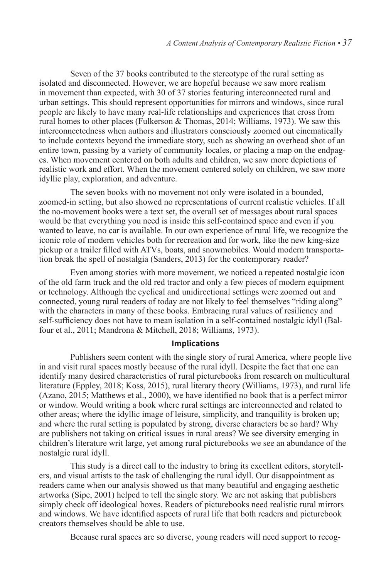Seven of the 37 books contributed to the stereotype of the rural setting as isolated and disconnected. However, we are hopeful because we saw more realism in movement than expected, with 30 of 37 stories featuring interconnected rural and urban settings. This should represent opportunities for mirrors and windows, since rural people are likely to have many real-life relationships and experiences that cross from rural homes to other places (Fulkerson & Thomas, 2014; Williams, 1973). We saw this interconnectedness when authors and illustrators consciously zoomed out cinematically to include contexts beyond the immediate story, such as showing an overhead shot of an entire town, passing by a variety of community locales, or placing a map on the endpages. When movement centered on both adults and children, we saw more depictions of realistic work and effort. When the movement centered solely on children, we saw more idyllic play, exploration, and adventure.

The seven books with no movement not only were isolated in a bounded, zoomed-in setting, but also showed no representations of current realistic vehicles. If all the no-movement books were a text set, the overall set of messages about rural spaces would be that everything you need is inside this self-contained space and even if you wanted to leave, no car is available. In our own experience of rural life, we recognize the iconic role of modern vehicles both for recreation and for work, like the new king-size pickup or a trailer filled with ATVs, boats, and snowmobiles. Would modern transportation break the spell of nostalgia (Sanders, 2013) for the contemporary reader?

Even among stories with more movement, we noticed a repeated nostalgic icon of the old farm truck and the old red tractor and only a few pieces of modern equipment or technology. Although the cyclical and unidirectional settings were zoomed out and connected, young rural readers of today are not likely to feel themselves "riding along" with the characters in many of these books. Embracing rural values of resiliency and self-sufficiency does not have to mean isolation in a self-contained nostalgic idyll (Balfour et al., 2011; Mandrona & Mitchell, 2018; Williams, 1973).

#### **Implications**

Publishers seem content with the single story of rural America, where people live in and visit rural spaces mostly because of the rural idyll. Despite the fact that one can identify many desired characteristics of rural picturebooks from research on multicultural literature (Eppley, 2018; Koss, 2015), rural literary theory (Williams, 1973), and rural life (Azano, 2015; Matthews et al., 2000), we have identified no book that is a perfect mirror or window. Would writing a book where rural settings are interconnected and related to other areas; where the idyllic image of leisure, simplicity, and tranquility is broken up; and where the rural setting is populated by strong, diverse characters be so hard? Why are publishers not taking on critical issues in rural areas? We see diversity emerging in children's literature writ large, yet among rural picturebooks we see an abundance of the nostalgic rural idyll.

This study is a direct call to the industry to bring its excellent editors, storytellers, and visual artists to the task of challenging the rural idyll. Our disappointment as readers came when our analysis showed us that many beautiful and engaging aesthetic artworks (Sipe, 2001) helped to tell the single story. We are not asking that publishers simply check off ideological boxes. Readers of picturebooks need realistic rural mirrors and windows. We have identified aspects of rural life that both readers and picturebook creators themselves should be able to use.

Because rural spaces are so diverse, young readers will need support to recog-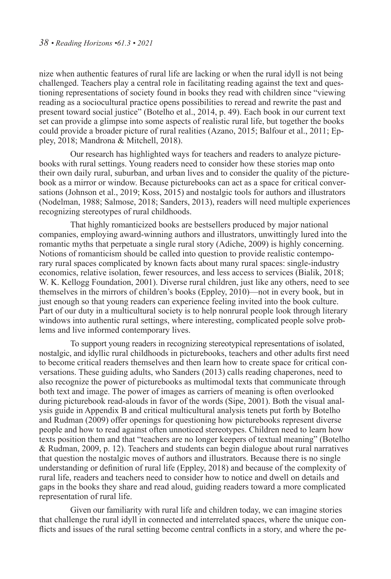nize when authentic features of rural life are lacking or when the rural idyll is not being challenged. Teachers play a central role in facilitating reading against the text and questioning representations of society found in books they read with children since "viewing reading as a sociocultural practice opens possibilities to reread and rewrite the past and present toward social justice" (Botelho et al., 2014, p. 49). Each book in our current text set can provide a glimpse into some aspects of realistic rural life, but together the books could provide a broader picture of rural realities (Azano, 2015; Balfour et al., 2011; Eppley, 2018; Mandrona & Mitchell, 2018).

Our research has highlighted ways for teachers and readers to analyze picturebooks with rural settings. Young readers need to consider how these stories map onto their own daily rural, suburban, and urban lives and to consider the quality of the picturebook as a mirror or window. Because picturebooks can act as a space for critical conversations (Johnson et al., 2019; Koss, 2015) and nostalgic tools for authors and illustrators (Nodelman, 1988; Salmose, 2018; Sanders, 2013), readers will need multiple experiences recognizing stereotypes of rural childhoods.

That highly romanticized books are bestsellers produced by major national companies, employing award-winning authors and illustrators, unwittingly lured into the romantic myths that perpetuate a single rural story (Adiche, 2009) is highly concerning. Notions of romanticism should be called into question to provide realistic contemporary rural spaces complicated by known facts about many rural spaces: single-industry economics, relative isolation, fewer resources, and less access to services (Bialik, 2018; W. K. Kellogg Foundation, 2001). Diverse rural children, just like any others, need to see themselves in the mirrors of children's books (Eppley, 2010)—not in every book, but in just enough so that young readers can experience feeling invited into the book culture. Part of our duty in a multicultural society is to help nonrural people look through literary windows into authentic rural settings, where interesting, complicated people solve problems and live informed contemporary lives.

To support young readers in recognizing stereotypical representations of isolated, nostalgic, and idyllic rural childhoods in picturebooks, teachers and other adults first need to become critical readers themselves and then learn how to create space for critical conversations. These guiding adults, who Sanders (2013) calls reading chaperones, need to also recognize the power of picturebooks as multimodal texts that communicate through both text and image. The power of images as carriers of meaning is often overlooked during picturebook read-alouds in favor of the words (Sipe, 2001). Both the visual analysis guide in Appendix B and critical multicultural analysis tenets put forth by Botelho and Rudman (2009) offer openings for questioning how picturebooks represent diverse people and how to read against often unnoticed stereotypes. Children need to learn how texts position them and that "teachers are no longer keepers of textual meaning" (Botelho & Rudman, 2009, p. 12). Teachers and students can begin dialogue about rural narratives that question the nostalgic moves of authors and illustrators. Because there is no single understanding or definition of rural life (Eppley, 2018) and because of the complexity of rural life, readers and teachers need to consider how to notice and dwell on details and gaps in the books they share and read aloud, guiding readers toward a more complicated representation of rural life.

Given our familiarity with rural life and children today, we can imagine stories that challenge the rural idyll in connected and interrelated spaces, where the unique conflicts and issues of the rural setting become central conflicts in a story, and where the pe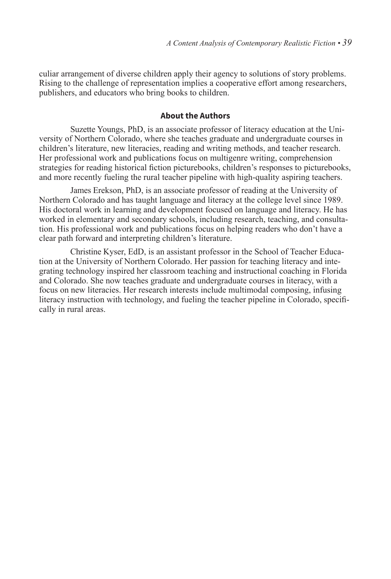culiar arrangement of diverse children apply their agency to solutions of story problems. Rising to the challenge of representation implies a cooperative effort among researchers, publishers, and educators who bring books to children.

#### **About the Authors**

Suzette Youngs, PhD, is an associate professor of literacy education at the University of Northern Colorado, where she teaches graduate and undergraduate courses in children's literature, new literacies, reading and writing methods, and teacher research. Her professional work and publications focus on multigenre writing, comprehension strategies for reading historical fiction picturebooks, children's responses to picturebooks, and more recently fueling the rural teacher pipeline with high-quality aspiring teachers.

James Erekson, PhD, is an associate professor of reading at the University of Northern Colorado and has taught language and literacy at the college level since 1989. His doctoral work in learning and development focused on language and literacy. He has worked in elementary and secondary schools, including research, teaching, and consultation. His professional work and publications focus on helping readers who don't have a clear path forward and interpreting children's literature.

Christine Kyser, EdD, is an assistant professor in the School of Teacher Education at the University of Northern Colorado. Her passion for teaching literacy and integrating technology inspired her classroom teaching and instructional coaching in Florida and Colorado. She now teaches graduate and undergraduate courses in literacy, with a focus on new literacies. Her research interests include multimodal composing, infusing literacy instruction with technology, and fueling the teacher pipeline in Colorado, specifically in rural areas.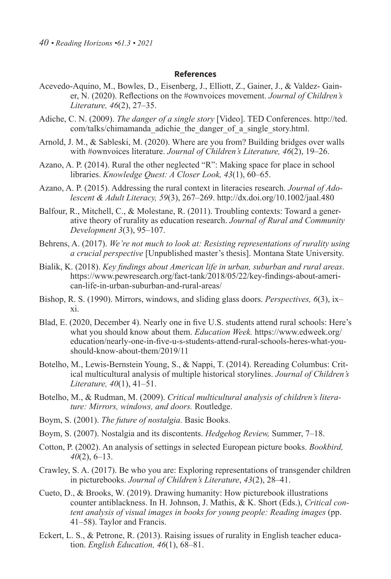#### **References**

- Acevedo-Aquino, M., Bowles, D., Eisenberg, J., Elliott, Z., Gainer, J., & Valdez- Gainer, N. (2020). Reflections on the #ownvoices movement. *Journal of Children's Literature, 46*(2), 27–35.
- Adiche, C. N. (2009). *The danger of a single story* [Video]. TED Conferences. http://ted. com/talks/chimamanda\_adichie\_the\_danger\_of\_a\_single\_story.html.
- Arnold, J. M., & Sableski, M. (2020). Where are you from? Building bridges over walls with #ownvoices literature. *Journal of Children's Literature, 46*(2), 19–26.
- Azano, A. P. (2014). Rural the other neglected "R": Making space for place in school libraries. *Knowledge Quest: A Closer Look, 43*(1), 60–65.
- Azano, A. P. (2015). Addressing the rural context in literacies research. *Journal of Adolescent & Adult Literacy, 59*(3), 267–269. http://dx.doi.org/10.1002/jaal.480
- Balfour, R., Mitchell, C., & Molestane, R. (2011). Troubling contexts: Toward a generative theory of rurality as education research. *Journal of Rural and Community Development 3*(3), 95–107.
- Behrens, A. (2017). *We're not much to look at: Resisting representations of rurality using a crucial perspective* [Unpublished master's thesis]. Montana State University.
- Bialik, K. (2018). *Key findings about American life in urban, suburban and rural areas*. https://www.pewresearch.org/fact-tank/2018/05/22/key-findings-about-american-life-in-urban-suburban-and-rural-areas/
- Bishop, R. S. (1990). Mirrors, windows, and sliding glass doors. *Perspectives, 6*(3), ix– xi.
- Blad, E. (2020, December 4). Nearly one in five U.S. students attend rural schools: Here's what you should know about them. *Education Week.* https://www.edweek.org/ education/nearly-one-in-five-u-s-students-attend-rural-schools-heres-what-youshould-know-about-them/2019/11
- Botelho, M., Lewis-Bernstein Young, S., & Nappi, T. (2014). Rereading Columbus: Critical multicultural analysis of multiple historical storylines. *Journal of Children's Literature, 40*(1), 41–51.
- Botelho, M., & Rudman, M. (2009). *Critical multicultural analysis of children's literature: Mirrors, windows, and doors.* Routledge.
- Boym, S. (2001). *The future of nostalgia.* Basic Books.
- Boym, S. (2007). Nostalgia and its discontents. *Hedgehog Review,* Summer, 7–18.
- Cotton, P. (2002). An analysis of settings in selected European picture books. *Bookbird, 40*(2), 6–13.
- Crawley, S. A. (2017). Be who you are: Exploring representations of transgender children in picturebooks. *Journal of Children's Literature*, *43*(2), 28–41.
- Cueto, D., & Brooks, W. (2019). Drawing humanity: How picturebook illustrations counter antiblackness. In H. Johnson, J. Mathis, & K. Short (Eds.), *Critical content analysis of visual images in books for young people: Reading images* (pp. 41–58). Taylor and Francis.
- Eckert, L. S., & Petrone, R. (2013). Raising issues of rurality in English teacher education. *English Education, 46*(1), 68–81.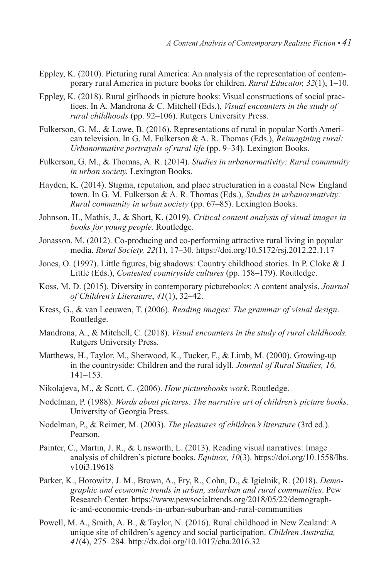- Eppley, K. (2010). Picturing rural America: An analysis of the representation of contemporary rural America in picture books for children. *Rural Educator, 32*(1), 1–10.
- Eppley, K. (2018). Rural girlhoods in picture books: Visual constructions of social practices. In A. Mandrona & C. Mitchell (Eds.), *Visual encounters in the study of rural childhoods* (pp. 92–106). Rutgers University Press.
- Fulkerson, G. M., & Lowe, B. (2016). Representations of rural in popular North American television. In G. M. Fulkerson & A. R. Thomas (Eds.), *Reimagining rural: Urbanormative portrayals of rural life* (pp. 9–34). Lexington Books.
- Fulkerson, G. M., & Thomas, A. R. (2014). *Studies in urbanormativity: Rural community in urban society.* Lexington Books.
- Hayden, K. (2014). Stigma, reputation, and place structuration in a coastal New England town. In G. M. Fulkerson & A. R. Thomas (Eds.), *Studies in urbanormativity: Rural community in urban society* (pp. 67–85). Lexington Books.
- Johnson, H., Mathis, J., & Short, K. (2019). *Critical content analysis of visual images in books for young people.* Routledge.
- Jonasson, M. (2012). Co-producing and co-performing attractive rural living in popular media. *Rural Society, 22*(1), 17–30. https://doi.org/10.5172/rsj.2012.22.1.17
- Jones, O. (1997). Little figures, big shadows: Country childhood stories. In P. Cloke & J. Little (Eds.), *Contested countryside cultures* (pp. 158–179). Routledge.
- Koss, M. D. (2015). Diversity in contemporary picturebooks: A content analysis. *Journal of Children's Literature*, *41*(1), 32–42.
- Kress, G., & van Leeuwen, T. (2006). *Reading images: The grammar of visual design*. Routledge.
- Mandrona, A., & Mitchell, C. (2018). *Visual encounters in the study of rural childhoods.*  Rutgers University Press.
- Matthews, H., Taylor, M., Sherwood, K., Tucker, F., & Limb, M. (2000). Growing-up in the countryside: Children and the rural idyll. *Journal of Rural Studies, 16,*  141–153.
- Nikolajeva, M., & Scott, C. (2006). *How picturebooks work*. Routledge.
- Nodelman, P. (1988). *Words about pictures. The narrative art of children's picture books*. University of Georgia Press.
- Nodelman, P., & Reimer, M. (2003). *The pleasures of children's literature* (3rd ed.). Pearson.
- Painter, C., Martin, J. R., & Unsworth, L. (2013). Reading visual narratives: Image analysis of children's picture books. *Equinox, 10*(3). https://doi.org/10.1558/lhs. v10i3.19618
- Parker, K., Horowitz, J. M., Brown, A., Fry, R., Cohn, D., & Igielnik, R. (2018). *Demographic and economic trends in urban, suburban and rural communities*. Pew Research Center. https://www.pewsocialtrends.org/2018/05/22/demographic-and-economic-trends-in-urban-suburban-and-rural-communities
- Powell, M. A., Smith, A. B., & Taylor, N. (2016). Rural childhood in New Zealand: A unique site of children's agency and social participation. *Children Australia, 41*(4), 275–284. http://dx.doi.org/10.1017/cha.2016.32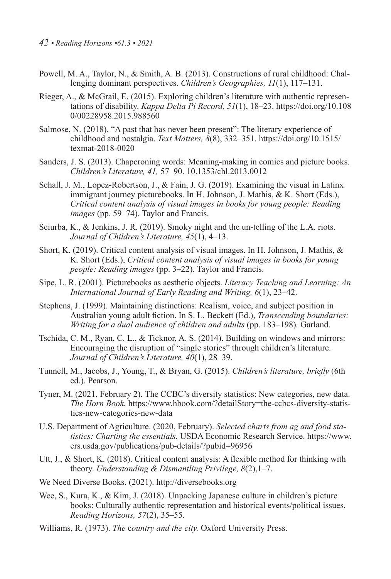- Powell, M. A., Taylor, N., & Smith, A. B. (2013). Constructions of rural childhood: Challenging dominant perspectives. *Children's Geographies, 11*(1), 117–131.
- Rieger, A., & McGrail, E. (2015). Exploring children's literature with authentic representations of disability. *Kappa Delta Pi Record, 51*(1), 18–23. https://doi.org/10.108 0/00228958.2015.988560
- Salmose, N. (2018). "A past that has never been present": The literary experience of childhood and nostalgia. *Text Matters, 8*(8), 332–351. https://doi.org/10.1515/ texmat-2018-0020
- Sanders, J. S. (2013). Chaperoning words: Meaning-making in comics and picture books. *Children's Literature, 41,* 57–90. 10.1353/chl.2013.0012
- Schall, J. M., Lopez-Robertson, J., & Fain, J. G. (2019). Examining the visual in Latinx immigrant journey picturebooks. In H. Johnson, J. Mathis, & K. Short (Eds.), *Critical content analysis of visual images in books for young people: Reading images* (pp. 59–74). Taylor and Francis.
- Sciurba, K., & Jenkins, J. R. (2019). Smoky night and the un-telling of the L.A. riots. *Journal of Children's Literature, 45*(1), 4–13.
- Short, K. (2019). Critical content analysis of visual images. In H. Johnson, J. Mathis, & K. Short (Eds.), *Critical content analysis of visual images in books for young people: Reading images* (pp. 3–22). Taylor and Francis.
- Sipe, L. R. (2001). Picturebooks as aesthetic objects. *Literacy Teaching and Learning: An International Journal of Early Reading and Writing, 6*(1), 23–42.
- Stephens, J. (1999). Maintaining distinctions: Realism, voice, and subject position in Australian young adult fiction. In S. L. Beckett (Ed.), *Transcending boundaries: Writing for a dual audience of children and adults* (pp. 183–198)*.* Garland.
- Tschida, C. M., Ryan, C. L., & Ticknor, A. S. (2014). Building on windows and mirrors: Encouraging the disruption of "single stories" through children's literature. *Journal of Children's Literature, 40*(1), 28–39.
- Tunnell, M., Jacobs, J., Young, T., & Bryan, G. (2015). *Children's literature, briefly* (6th ed.). Pearson.
- Tyner, M. (2021, February 2). The CCBC's diversity statistics: New categories, new data. *The Horn Book.* https://www.hbook.com/?detailStory=the-ccbcs-diversity-statistics-new-categories-new-data
- U.S. Department of Agriculture. (2020, February). *Selected charts from ag and food statistics: Charting the essentials.* USDA Economic Research Service. https://www. ers.usda.gov/publications/pub-details/?pubid=96956
- Utt, J., & Short, K. (2018). Critical content analysis: A flexible method for thinking with theory. *Understanding & Dismantling Privilege, 8*(2),1–7.
- We Need Diverse Books. (2021). http://diversebooks.org
- Wee, S., Kura, K., & Kim, J. (2018). Unpacking Japanese culture in children's picture books: Culturally authentic representation and historical events/political issues. *Reading Horizons, 57*(2), 35–55.
- Williams, R. (1973). *The* c*ountry and the city.* Oxford University Press.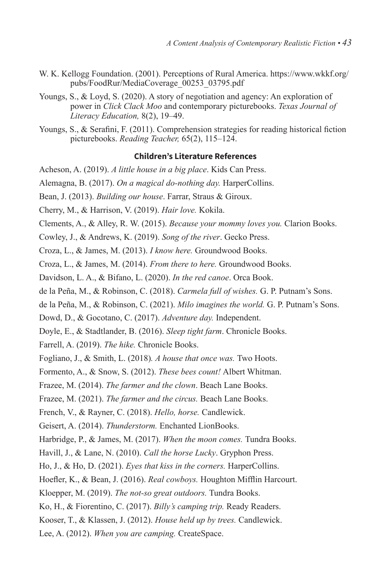- W. K. Kellogg Foundation. (2001). Perceptions of Rural America. https://www.wkkf.org/ pubs/FoodRur/MediaCoverage\_00253\_03795.pdf
- Youngs, S., & Loyd, S. (2020). A story of negotiation and agency: An exploration of power in *Click Clack Moo* and contemporary picturebooks. *Texas Journal of Literacy Education,* 8(2), 19–49.
- Youngs, S., & Serafini, F. (2011). Comprehension strategies for reading historical fiction picturebooks. *Reading Teacher,* 65(2), 115–124.

#### **Children's Literature References**

Acheson, A. (2019). *A little house in a big place*. Kids Can Press.

Alemagna, B. (2017). *On a magical do-nothing day.* HarperCollins.

- Bean, J. (2013). *Building our house*. Farrar, Straus & Giroux.
- Cherry, M., & Harrison, V. (2019). *Hair love.* Kokila.
- Clements, A., & Alley, R. W. (2015). *Because your mommy loves you.* Clarion Books.
- Cowley, J., & Andrews, K. (2019). *Song of the river*. Gecko Press.
- Croza, L., & James, M. (2013). *I know here.* Groundwood Books.
- Croza, L., & James, M. (2014). *From there to here.* Groundwood Books.
- Davidson, L. A., & Bifano, L. (2020). *In the red canoe*. Orca Book.
- de la Peña, M., & Robinson, C. (2018). *Carmela full of wishes.* G. P. Putnam's Sons.
- de la Peña, M., & Robinson, C. (2021). *Milo imagines the world.* G. P. Putnam's Sons.

Dowd, D., & Gocotano, C. (2017). *Adventure day.* Independent.

- Doyle, E., & Stadtlander, B. (2016). *Sleep tight farm*. Chronicle Books.
- Farrell, A. (2019). *The hike.* Chronicle Books.
- Fogliano, J., & Smith, L. (2018)*. A house that once was.* Two Hoots.

Formento, A., & Snow, S. (2012). *These bees count!* Albert Whitman.

Frazee, M. (2014). *The farmer and the clown*. Beach Lane Books.

Frazee, M. (2021). *The farmer and the circus.* Beach Lane Books.

French, V., & Rayner, C. (2018). *Hello, horse.* Candlewick.

Geisert, A. (2014). *Thunderstorm.* Enchanted LionBooks.

Harbridge, P., & James, M. (2017). *When the moon comes.* Tundra Books.

- Havill, J., & Lane, N. (2010). *Call the horse Lucky*. Gryphon Press.
- Ho, J., & Ho, D. (2021). *Eyes that kiss in the corners.* HarperCollins.

Hoefler, K., & Bean, J. (2016). *Real cowboys.* Houghton Mifflin Harcourt.

- Kloepper, M. (2019). *The not-so great outdoors.* Tundra Books.
- Ko, H., & Fiorentino, C. (2017). *Billy's camping trip.* Ready Readers.

Kooser, T., & Klassen, J. (2012). *House held up by trees.* Candlewick.

Lee, A. (2012). *When you are camping.* CreateSpace.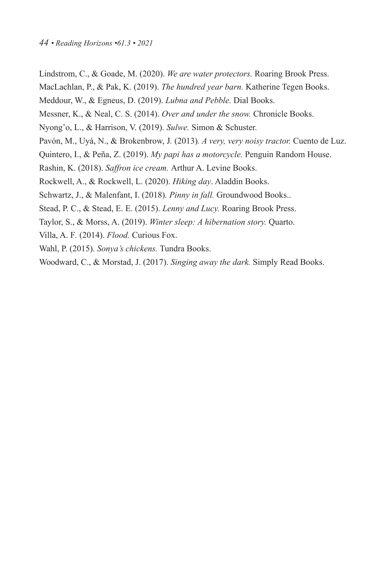Lindstrom, C., & Goade, M. (2020). *We are water protectors.* Roaring Brook Press. MacLachlan, P., & Pak, K. (2019). *The hundred year barn.* Katherine Tegen Books. Meddour, W., & Egneus, D. (2019). *Lubna and Pebble.* Dial Books. Messner, K., & Neal, C. S. (2014). *Over and under the snow.* Chronicle Books. Nyong'o, L., & Harrison, V. (2019). *Sulwe.* Simon & Schuster. Pavón, M., Uyá, N., & Brokenbrow, J*.* (2013)*. A very, very noisy tractor.* Cuento de Luz. Quintero, I., & Peña, Z. (2019). *My papi has a motorcycle.* Penguin Random House. Rashin, K. (2018). *Saffron ice cream.* Arthur A. Levine Books. Rockwell, A., & Rockwell, L. (2020). *Hiking day*. Aladdin Books. Schwartz, J., & Malenfant, I. (2018)*. Pinny in fall.* Groundwood Books.. Stead, P. C., & Stead, E. E. (2015). *Lenny and Lucy.* Roaring Brook Press. Taylor, S., & Morss, A. (2019). *Winter sleep: A hibernation story.* Quarto. Villa, A. F*.* (2014). *Flood.* Curious Fox. Wahl, P. (2015)*. Sonya's chickens.* Tundra Books.

Woodward, C., & Morstad, J. (2017). *Singing away the dark.* Simply Read Books.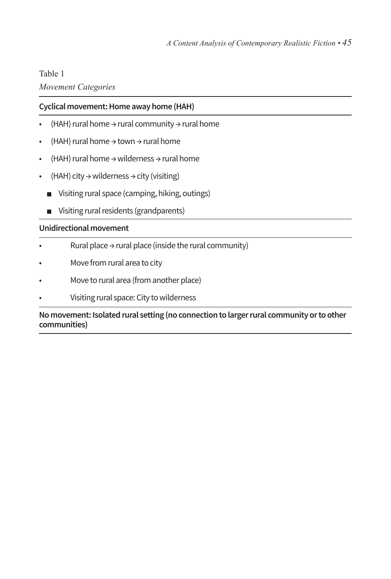#### Table 1

## *Movement Categories*

## **Cyclical movement: Home away home (HAH)**

- (HAH) rural home → rural community → rural home
- (HAH) rural home → town → rural home
- (HAH) rural home → wilderness → rural home
- $(HAH)$  city  $\rightarrow$  wilderness  $\rightarrow$  city (visiting)
	- Visiting rural space (camping, hiking, outings)
	- Visiting rural residents (grandparents)

## **Unidirectional movement**

- Rural place  $\rightarrow$  rural place (inside the rural community)
- Move from rural area to city
- Move to rural area (from another place)
- Visiting rural space: City to wilderness

#### **No movement: Isolated rural setting (no connection to larger rural community or to other communities)**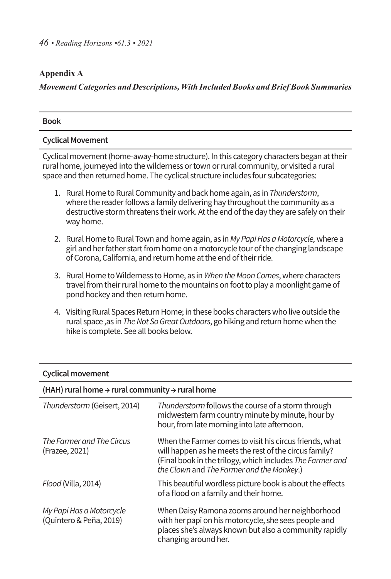## **Appendix A**

## *Movement Categories and Descriptions, With Included Books and Brief Book Summaries*

| <b>Book</b>                                                                                                                                                                                                                                                               |
|---------------------------------------------------------------------------------------------------------------------------------------------------------------------------------------------------------------------------------------------------------------------------|
| <b>Cyclical Movement</b>                                                                                                                                                                                                                                                  |
| Cyclical movement (home-away-home structure). In this category characters began at their<br>rural home, journeyed into the wilderness or town or rural community, or visited a rural<br>space and then returned home. The cyclical structure includes four subcategories: |
| 1. Rural Home to Rural Community and back home again, as in Thunderstorm,<br>where the reader follows a family delivering hay throughout the community as a<br>destructive storm threatens their work. At the end of the day they are safely on their<br>way home.        |

- 2. Rural Home to Rural Town and home again, as in My Papi Has a Motorcycle, where a girl and her father start from home on a motorcycle tour of the changing landscape of Corona, California, and return home at the end of their ride.
- 3. Rural Home to Wilderness to Home, as in When the Moon Comes, where characters travel from their rural home to the mountains on foot to play a moonlight game of pond hockey and then return home.
- 4. Visiting Rural Spaces Return Home; in these books characters who live outside the rural space ,as in *The Not So Great Outdoors*, go hiking and return homewhen the hike is complete. See all books below.

| <b>Cyclical movement</b>                                                |                                                                                                                                                                                                                             |
|-------------------------------------------------------------------------|-----------------------------------------------------------------------------------------------------------------------------------------------------------------------------------------------------------------------------|
| (HAH) rural home $\rightarrow$ rural community $\rightarrow$ rural home |                                                                                                                                                                                                                             |
| Thunderstorm (Geisert, 2014)                                            | Thunderstorm follows the course of a storm through<br>midwestern farm country minute by minute, hour by<br>hour, from late morning into late afternoon.                                                                     |
| The Farmer and The Circus<br>(Frazee, 2021)                             | When the Farmer comes to visit his circus friends, what<br>will happen as he meets the rest of the circus family?<br>(Final book in the trilogy, which includes The Farmer and<br>the Clown and The Farmer and the Monkey.) |
| Flood (Villa, 2014)                                                     | This beautiful wordless picture book is about the effects<br>of a flood on a family and their home.                                                                                                                         |
| My Papi Has a Motorcycle<br>(Quintero & Peña, 2019)                     | When Daisy Ramona zooms around her neighborhood<br>with her papi on his motorcycle, she sees people and<br>places she's always known but also a community rapidly<br>changing around her.                                   |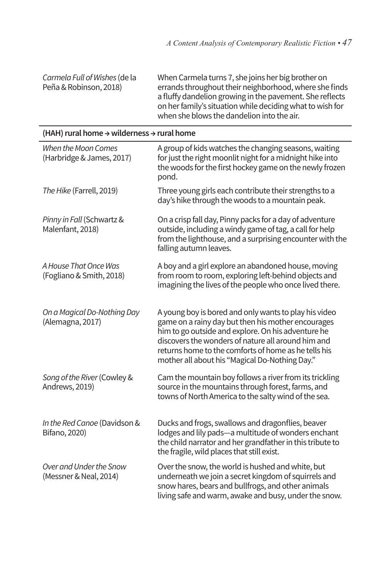*Carmela Full of Wishes* (de la Peña & Robinson, 2018) When Carmela turns 7, she joins her big brother on errands throughout their neighborhood, where she finds a fluffy dandelion growing in the pavement. She reflects on her family's situation while deciding what to wish for when she blows the dandelion into the air.

| (HAH) rural home $\rightarrow$ wilderness $\rightarrow$ rural home |                                                                                                                                                                                                                                                                                                                                   |
|--------------------------------------------------------------------|-----------------------------------------------------------------------------------------------------------------------------------------------------------------------------------------------------------------------------------------------------------------------------------------------------------------------------------|
| When the Moon Comes<br>(Harbridge & James, 2017)                   | A group of kids watches the changing seasons, waiting<br>for just the right moonlit night for a midnight hike into<br>the woods for the first hockey game on the newly frozen<br>pond.                                                                                                                                            |
| The Hike (Farrell, 2019)                                           | Three young girls each contribute their strengths to a<br>day's hike through the woods to a mountain peak.                                                                                                                                                                                                                        |
| Pinny in Fall (Schwartz &<br>Malenfant, 2018)                      | On a crisp fall day, Pinny packs for a day of adventure<br>outside, including a windy game of tag, a call for help<br>from the lighthouse, and a surprising encounter with the<br>falling autumn leaves.                                                                                                                          |
| A House That Once Was<br>(Fogliano & Smith, 2018)                  | A boy and a girl explore an abandoned house, moving<br>from room to room, exploring left-behind objects and<br>imagining the lives of the people who once lived there.                                                                                                                                                            |
| On a Magical Do-Nothing Day<br>(Alemagna, 2017)                    | A young boy is bored and only wants to play his video<br>game on a rainy day but then his mother encourages<br>him to go outside and explore. On his adventure he<br>discovers the wonders of nature all around him and<br>returns home to the comforts of home as he tells his<br>mother all about his "Magical Do-Nothing Day." |
| Song of the River (Cowley &<br>Andrews, 2019)                      | Cam the mountain boy follows a river from its trickling<br>source in the mountains through forest, farms, and<br>towns of North America to the salty wind of the sea.                                                                                                                                                             |
| In the Red Canoe (Davidson &<br>Bifano, 2020)                      | Ducks and frogs, swallows and dragonflies, beaver<br>lodges and lily pads-a multitude of wonders enchant<br>the child narrator and her grandfather in this tribute to<br>the fragile, wild places that still exist.                                                                                                               |
| Over and Under the Snow<br>(Messner & Neal, 2014)                  | Over the snow, the world is hushed and white, but<br>underneath we join a secret kingdom of squirrels and<br>snow hares, bears and bullfrogs, and other animals<br>living safe and warm, awake and busy, under the snow.                                                                                                          |

# **(HAH) rural home → wilderness → rural home**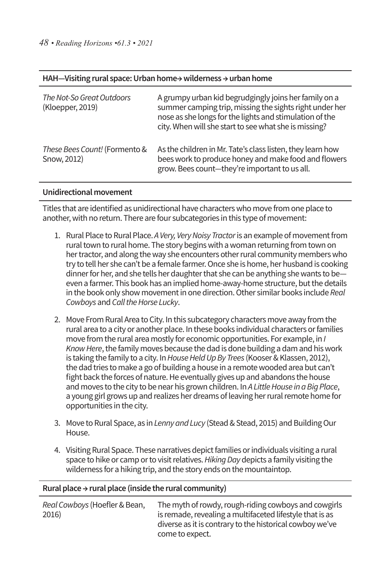#### **HAH—Visiting rural space: Urban home→ wilderness → urban home**

| The Not-So Great Outdoors<br>(Kloepper, 2019) | A grumpy urban kid begrudgingly joins her family on a<br>summer camping trip, missing the sights right under her<br>nose as she longs for the lights and stimulation of the<br>city. When will she start to see what she is missing? |
|-----------------------------------------------|--------------------------------------------------------------------------------------------------------------------------------------------------------------------------------------------------------------------------------------|
| These Bees Count! (Formento &<br>Snow, 2012)  | As the children in Mr. Tate's class listen, they learn how<br>bees work to produce honey and make food and flowers<br>grow. Bees count-they're important to us all.                                                                  |

#### **Unidirectional movement**

Titles that are identified as unidirectional have characterswho move from one place to another, with no return. There are four subcategories in this type of movement:

- 1. Rural Place to Rural Place. A Very, Very Noisy Tractor is an example of movement from rural town to rural home. The story begins with a woman returning from town on her tractor, and along the way she encounters other rural community members who try to tell her she can't be a female farmer. Once she is home, her husband is cooking dinner for her, and she tells her daughter that she can be anything she wants to be even a farmer. This book has an implied home-away-home structure, butthe details in the book only show movement in one direction. Other similar books include *Real Cowboys* and *Call the Horse Lucky*.
- 2. Move From Rural Area to City. In this subcategory characters move away from the rural area to a city or another place. In these books individual characters orfamilies move from the rural area mostly for economic opportunities. For example, in *I*  Know Here, the family moves because the dad is done building a dam and his work is taking the family to a city. In House Held Up By Trees (Kooser & Klassen, 2012), the dad tries to make a go of building a house in a remotewooded area but can't fight back the forces of nature. He eventually gives up and abandons the house and moves to the city to be near his grown children. In *A Little House in a Big Place*, a young girl grows up and realizes her dreams of leaving her rural remote home for opportunities in the city.
- 3. Move to Rural Space, as in *Lenny and Lucy* (Stead & Stead, 2015) and Building Our House.
- 4. Visiting Rural Space. These narratives depict families or individuals visiting a rural space to hike or camp or to visit relatives. Hiking Day depicts a family visiting the wilderness for a hiking trip, and the story ends on the mountaintop.

#### **Rural place → rural place (inside the rural community)**

| Real Cowboys (Hoefler & Bean, | The myth of rowdy, rough-riding cowboys and cowgirls     |
|-------------------------------|----------------------------------------------------------|
| 2016)                         | is remade, revealing a multifaceted lifestyle that is as |
|                               | diverse as it is contrary to the historical cowboy we've |
|                               | come to expect.                                          |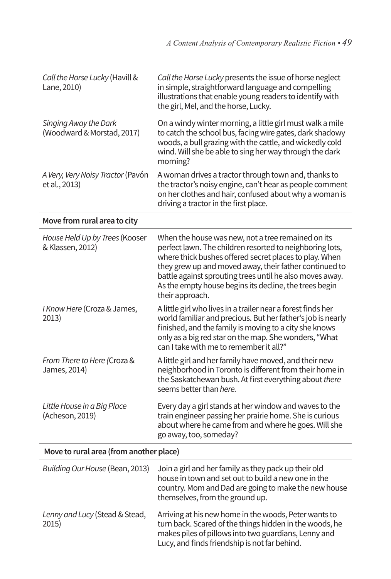| Call the Horse Lucky (Havill &<br>Lane, 2010)       | Call the Horse Lucky presents the issue of horse neglect<br>in simple, straightforward language and compelling<br>illustrations that enable young readers to identify with<br>the girl, Mel, and the horse, Lucky.                                       |
|-----------------------------------------------------|----------------------------------------------------------------------------------------------------------------------------------------------------------------------------------------------------------------------------------------------------------|
| Singing Away the Dark<br>(Woodward & Morstad, 2017) | On a windy winter morning, a little girl must walk a mile<br>to catch the school bus, facing wire gates, dark shadowy<br>woods, a bull grazing with the cattle, and wickedly cold<br>wind. Will she be able to sing her way through the dark<br>morning? |
| A Very, Very Noisy Tractor (Pavón<br>et al., 2013)  | A woman drives a tractor through town and, thanks to<br>the tractor's noisy engine, can't hear as people comment<br>on her clothes and hair, confused about why a woman is<br>driving a tractor in the first place.                                      |

## **Move from rural area to city**

| House Held Up by Trees (Kooser<br>& Klassen, 2012) | When the house was new, not a tree remained on its<br>perfect lawn. The children resorted to neighboring lots,<br>where thick bushes offered secret places to play. When<br>they grew up and moved away, their father continued to<br>battle against sprouting trees until he also moves away.<br>As the empty house begins its decline, the trees begin<br>their approach. |
|----------------------------------------------------|-----------------------------------------------------------------------------------------------------------------------------------------------------------------------------------------------------------------------------------------------------------------------------------------------------------------------------------------------------------------------------|
| I Know Here (Croza & James,<br>2013)               | A little girl who lives in a trailer near a forest finds her<br>world familiar and precious. But her father's job is nearly<br>finished, and the family is moving to a city she knows<br>only as a big red star on the map. She wonders, "What<br>can I take with me to remember it all?"                                                                                   |
| From There to Here (Croza &<br>James, 2014)        | A little girl and her family have moved, and their new<br>neighborhood in Toronto is different from their home in<br>the Saskatchewan bush. At first everything about there<br>seems better than here.                                                                                                                                                                      |
| Little House in a Big Place<br>(Acheson, 2019)     | Every day a girl stands at her window and waves to the<br>train engineer passing her prairie home. She is curious<br>about where he came from and where he goes. Will she<br>go away, too, someday?                                                                                                                                                                         |

# **Move to rural area (from another place)**

| Building Our House (Bean, 2013)         | Join a girl and her family as they pack up their old<br>house in town and set out to build a new one in the<br>country. Mom and Dad are going to make the new house<br>themselves, from the ground up.                    |
|-----------------------------------------|---------------------------------------------------------------------------------------------------------------------------------------------------------------------------------------------------------------------------|
| Lenny and Lucy (Stead & Stead,<br>2015) | Arriving at his new home in the woods, Peter wants to<br>turn back. Scared of the things hidden in the woods, he<br>makes piles of pillows into two guardians, Lenny and<br>Lucy, and finds friendship is not far behind. |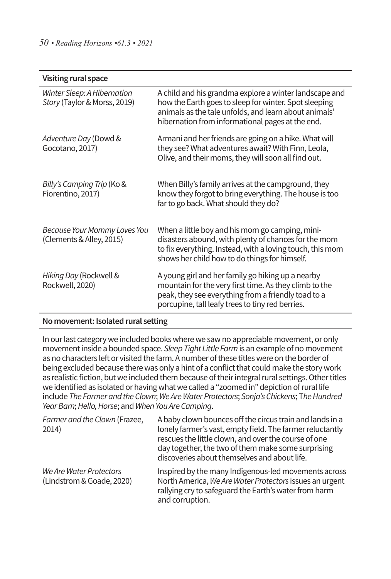| Visiting rural space                                        |                                                                                                                                                                                                                              |
|-------------------------------------------------------------|------------------------------------------------------------------------------------------------------------------------------------------------------------------------------------------------------------------------------|
| Winter Sleep: A Hibernation<br>Story (Taylor & Morss, 2019) | A child and his grandma explore a winter landscape and<br>how the Earth goes to sleep for winter. Spot sleeping<br>animals as the tale unfolds, and learn about animals'<br>hibernation from informational pages at the end. |
| Adventure Day (Dowd &<br>Gocotano, 2017)                    | Armani and her friends are going on a hike. What will<br>they see? What adventures await? With Finn, Leola,<br>Olive, and their moms, they will soon all find out.                                                           |
| Billy's Camping Trip (Ko &<br>Fiorentino, 2017)             | When Billy's family arrives at the campground, they<br>know they forgot to bring everything. The house is too<br>far to go back. What should they do?                                                                        |
| Because Your Mommy Loves You<br>(Clements & Alley, 2015)    | When a little boy and his mom go camping, mini-<br>disasters abound, with plenty of chances for the mom<br>to fix everything. Instead, with a loving touch, this mom<br>shows her child how to do things for himself.        |
| Hiking Day (Rockwell &<br>Rockwell, 2020)                   | A young girl and her family go hiking up a nearby<br>mountain for the very first time. As they climb to the<br>peak, they see everything from a friendly toad to a<br>porcupine, tall leafy trees to tiny red berries.       |

### **No movement: Isolated rural setting**

In our last category we included books where we saw no appreciable movement, or only movementinside a bounded space. *Sleep Tight Little Farm*is an example of no movement as no characters left or visited the farm. A number of these titles were on the border of being excluded because there was only a hint of a conflict that could make the story work as realistic fiction, but we included them because of their integral rural settings. Other titles we identified as isolated or having what we called a "zoomed in" depiction of rural life include *The Farmer and the Clown*;*We Are Water Protectors*; *Sonja's Chickens*; T*he Hundred Year Barn*;*Hello, Horse*; and*When You Are Camping*.

| Farmer and the Clown (Frazee,<br>2014)               | A baby clown bounces off the circus train and lands in a<br>lonely farmer's vast, empty field. The farmer reluctantly<br>rescues the little clown, and over the course of one<br>day together, the two of them make some surprising<br>discoveries about themselves and about life. |
|------------------------------------------------------|-------------------------------------------------------------------------------------------------------------------------------------------------------------------------------------------------------------------------------------------------------------------------------------|
| We Are Water Protectors<br>(Lindstrom & Goade, 2020) | Inspired by the many Indigenous-led movements across<br>North America, We Are Water Protectors issues an urgent<br>rallying cry to safeguard the Earth's water from harm<br>and corruption.                                                                                         |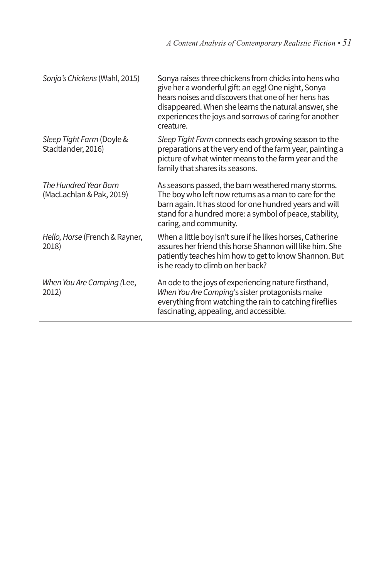| Sonja's Chickens (Wahl, 2015)                     | Sonya raises three chickens from chicks into hens who<br>give her a wonderful gift: an egg! One night, Sonya<br>hears noises and discovers that one of her hens has<br>disappeared. When she learns the natural answer, she<br>experiences the joys and sorrows of caring for another<br>creature. |
|---------------------------------------------------|----------------------------------------------------------------------------------------------------------------------------------------------------------------------------------------------------------------------------------------------------------------------------------------------------|
| Sleep Tight Farm (Doyle &<br>Stadtlander, 2016)   | Sleep Tight Farm connects each growing season to the<br>preparations at the very end of the farm year, painting a<br>picture of what winter means to the farm year and the<br>family that shares its seasons.                                                                                      |
| The Hundred Year Barn<br>(MacLachlan & Pak, 2019) | As seasons passed, the barn weathered many storms.<br>The boy who left now returns as a man to care for the<br>barn again. It has stood for one hundred years and will<br>stand for a hundred more: a symbol of peace, stability,<br>caring, and community.                                        |
| Hello, Horse (French & Rayner,<br>2018)           | When a little boy isn't sure if he likes horses, Catherine<br>assures her friend this horse Shannon will like him. She<br>patiently teaches him how to get to know Shannon. But<br>is he ready to climb on her back?                                                                               |
| When You Are Camping (Lee,<br>2012)               | An ode to the joys of experiencing nature firsthand,<br>When You Are Camping's sister protagonists make<br>everything from watching the rain to catching fireflies<br>fascinating, appealing, and accessible.                                                                                      |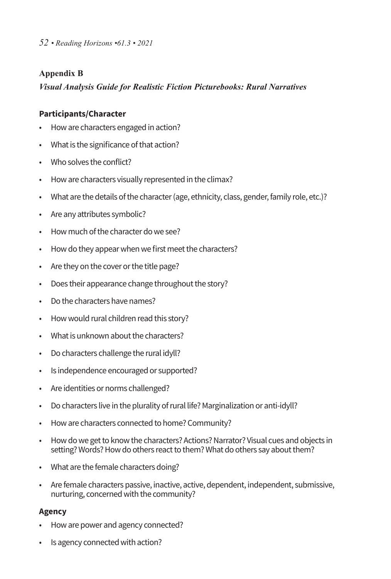## **Appendix B**

## *Visual Analysis Guide for Realistic Fiction Picturebooks: Rural Narratives*

## **Participants/Character**

- Howare characters engaged in action?
- What is the significance of that action?
- Who solves the conflict?
- How are characters visually represented in the climax?
- What are the details of the character (age, ethnicity, class, gender, family role, etc.)?
- Are any attributes symbolic?
- How much of the character do we see?
- How do they appear when we first meet the characters?
- Are they on the cover or the title page?
- Does their appearance change throughout the story?
- Do the characters have names?
- Howwould rural children read this story?
- What is unknown about the characters?
- Do characters challenge the rural idyll?
- Is independence encouraged or supported?
- Are identities or norms challenged?
- Do characters live in the plurality of rural life? Marginalization or anti-idyll?
- How are characters connected to home? Community?
- How do we get to know the characters? Actions? Narrator? Visual cues and objects in setting? Words? How do others react to them? What do others say about them?
- What are the female characters doing?
- Are female characters passive, inactive, active, dependent, independent, submissive, nurturing, concerned with the community?

## **Agency**

- Howare power and agency connected?
- Is agency connected with action?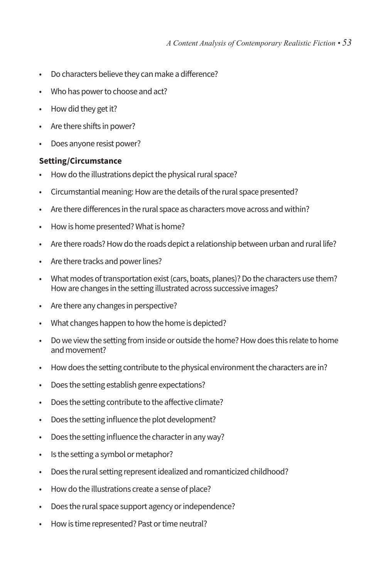- Do characters believe they can make a difference?
- Who has power to choose and act?
- How did they get it?
- Are there shifts in power?
- Does anyone resist power?

#### **Setting/Circumstance**

- How do the illustrations depict the physical rural space?
- Circumstantial meaning: How are the details of the rural space presented?
- Are there differences in the rural space as characters move across and within?
- How is home presented? What is home?
- Are there roads? How do the roads depict a relationship between urban and rural life?
- Are there tracks and power lines?
- What modes of transportation exist (cars, boats, planes)? Do the characters use them? Howare changes in the setting illustrated across successive images?
- Are there any changes in perspective?
- What changes happen to howthe home is depicted?
- Do we view the setting from inside or outside the home? How does this relate to home and movement?
- How does the setting contribute to the physical environment the characters are in?
- Does the setting establish genre expectations?
- Does the setting contribute to the affective climate?
- Does the setting influence the plot development?
- Does the setting influence the character in any way?
- Is the setting a symbol or metaphor?
- Does the rural setting represent idealized and romanticized childhood?
- How do the illustrations create a sense of place?
- Does the rural space support agency or independence?
- How is time represented? Past or time neutral?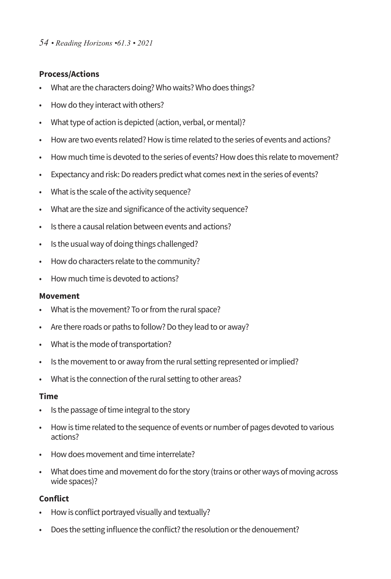## **Process/Actions**

- What are the characters doing? Who waits? Who does things?
- How do they interact with others?
- What type of action is depicted (action, verbal, or mental)?
- How are two events related? How is time related to the series of events and actions?
- How much time is devoted to the series of events? How does this relate to movement?
- Expectancy and risk: Do readers predict what comes next in the series of events?
- What is the scale of the activity sequence?
- What are the size and significance of the activity sequence?
- Is there a causal relation between events and actions?
- Is the usual way of doing things challenged?
- Howdo characters relate to the community?
- How much time is devoted to actions?

## **Movement**

- What is the movement? To or from the rural space?
- Are there roads or paths to follow? Do they lead to or away?
- What is the mode of transportation?
- Is the movement to or away from the rural setting represented or implied?
- What is the connection of the rural setting to other areas?

## **Time**

- Is the passage of time integral to the story
- Howis time related to the sequence of events or number of pages devoted to various actions?
- How does movement and time interrelate?
- What does time and movement do for the story (trains or other ways of moving across wide spaces)?

## **Conflict**

- Howis conflict portrayed visually and textually?
- Does the setting influence the conflict? the resolution or the denouement?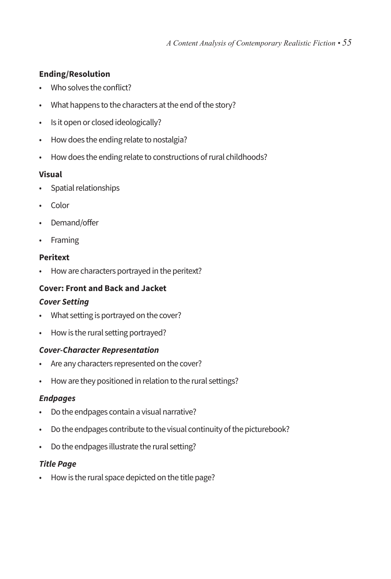# **Ending/Resolution**

- Who solves the conflict?
- What happens to the characters at the end of the story?
- Is it open or closed ideologically?
- How does the ending relate to nostalgia?
- How does the ending relate to constructions of rural childhoods?

## **Visual**

- Spatial relationships
- Color
- Demand/offer
- Framing

# **Peritext**

• Howare characters portrayed in the peritext?

# **Cover: Front and Back and Jacket**

## *Cover Setting*

- What setting is portrayed on the cover?
- How is the rural setting portrayed?

## *Cover-Character Representation*

- Are any characters represented on the cover?
- Howare they positioned in relation to the rural settings?

## *Endpages*

- Do the endpages contain a visual narrative?
- Do the endpages contribute to the visual continuity of the picturebook?
- Do the endpages illustrate the rural setting?

# *Title Page*

• How is the rural space depicted on the title page?